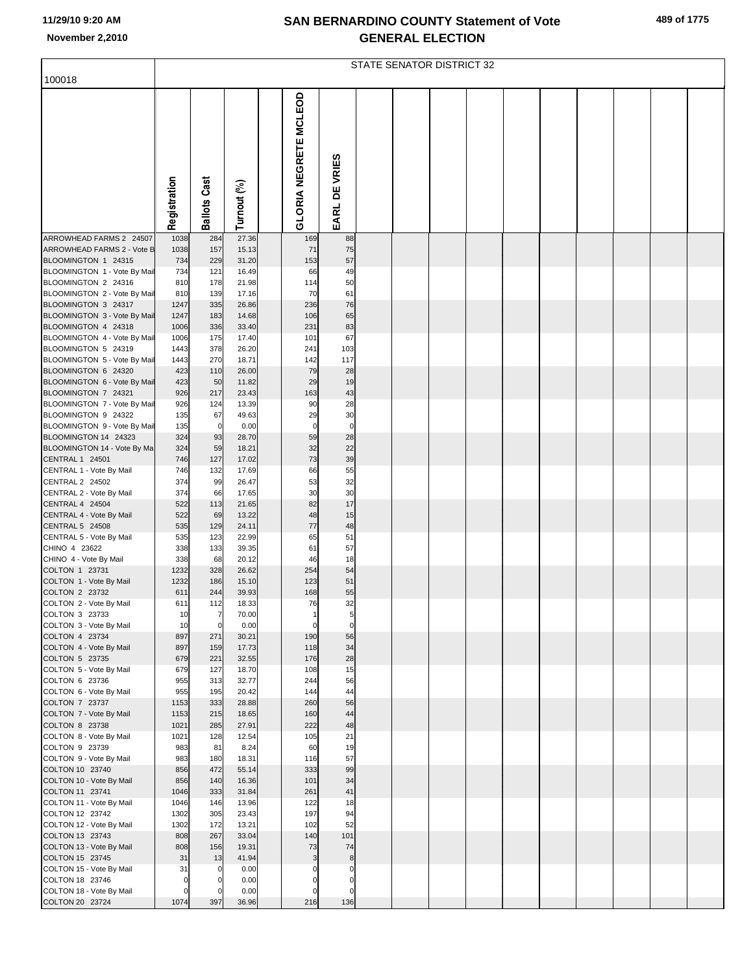|  |  | 489 of 1775 |
|--|--|-------------|
|--|--|-------------|

|                                                     |              | STATE SENATOR DISTRICT 32 |                |  |                       |                  |  |  |  |  |  |  |  |  |
|-----------------------------------------------------|--------------|---------------------------|----------------|--|-----------------------|------------------|--|--|--|--|--|--|--|--|
| 100018                                              |              |                           |                |  |                       |                  |  |  |  |  |  |  |  |  |
|                                                     | Registration | <b>Ballots Cast</b>       | Turnout (%)    |  | GLORIA NEGRETE MCLEOD | EARL DE VRIES    |  |  |  |  |  |  |  |  |
| ARROWHEAD FARMS 2 24507                             | 1038         | 284                       | 27.36          |  | 169                   | 88               |  |  |  |  |  |  |  |  |
| ARROWHEAD FARMS 2 - Vote B                          | 1038         | 157                       | 15.13          |  | 71                    | 75               |  |  |  |  |  |  |  |  |
| BLOOMINGTON 1 24315<br>BLOOMINGTON 1 - Vote By Mail | 734<br>734   | 229<br>121                | 31.20<br>16.49 |  | 153<br>66             | 57<br>49         |  |  |  |  |  |  |  |  |
| BLOOMINGTON 2 24316                                 | 810          | 178                       | 21.98          |  | 114                   | 50               |  |  |  |  |  |  |  |  |
| BLOOMINGTON 2 - Vote By Mail                        | 810          | 139                       | 17.16          |  | 70                    | 61               |  |  |  |  |  |  |  |  |
| BLOOMINGTON 3 24317                                 | 1247         | 335                       | 26.86          |  | 236                   | 76               |  |  |  |  |  |  |  |  |
| BLOOMINGTON 3 - Vote By Mail<br>BLOOMINGTON 4 24318 | 1247<br>1006 | 183<br>336                | 14.68<br>33.40 |  | 106<br>231            | 65<br>83         |  |  |  |  |  |  |  |  |
| BLOOMINGTON 4 - Vote By Mail                        | 1006         | 175                       | 17.40          |  | 101                   | 67               |  |  |  |  |  |  |  |  |
| BLOOMINGTON 5 24319                                 | 1443         | 378                       | 26.20          |  | 241                   | 103              |  |  |  |  |  |  |  |  |
| BLOOMINGTON 5 - Vote By Mail                        | 1443         | 270                       | 18.71          |  | 142                   | 117              |  |  |  |  |  |  |  |  |
| BLOOMINGTON 6 24320                                 | 423          | 110                       | 26.00<br>11.82 |  | 79<br>29              | 28<br>19         |  |  |  |  |  |  |  |  |
| BLOOMINGTON 6 - Vote By Mail<br>BLOOMINGTON 7 24321 | 423<br>926   | 50<br>217                 | 23.43          |  | 163                   | 43               |  |  |  |  |  |  |  |  |
| BLOOMINGTON 7 - Vote By Mail                        | 926          | 124                       | 13.39          |  | 90                    | 28               |  |  |  |  |  |  |  |  |
| BLOOMINGTON 9 24322                                 | 135          | 67                        | 49.63          |  | 29                    | 30               |  |  |  |  |  |  |  |  |
| BLOOMINGTON 9 - Vote By Mail                        | 135          | $\overline{0}$            | 0.00           |  | $\mathbf 0$           | $\mathbf 0$      |  |  |  |  |  |  |  |  |
| BLOOMINGTON 14 24323<br>BLOOMINGTON 14 - Vote By Ma | 324<br>324   | 93<br>59                  | 28.70<br>18.21 |  | 59<br>32              | 28<br>22         |  |  |  |  |  |  |  |  |
| CENTRAL 1 24501                                     | 746          | 127                       | 17.02          |  | 73                    | 39               |  |  |  |  |  |  |  |  |
| CENTRAL 1 - Vote By Mail                            | 746          | 132                       | 17.69          |  | 66                    | 55               |  |  |  |  |  |  |  |  |
| CENTRAL 2 24502                                     | 374          | 99                        | 26.47          |  | 53                    | 32               |  |  |  |  |  |  |  |  |
| CENTRAL 2 - Vote By Mail                            | 374          | 66                        | 17.65          |  | 30                    | 30<br>17         |  |  |  |  |  |  |  |  |
| CENTRAL 4 24504<br>CENTRAL 4 - Vote By Mail         | 522<br>522   | 113<br>69                 | 21.65<br>13.22 |  | 82<br>48              | 15               |  |  |  |  |  |  |  |  |
| CENTRAL 5 24508                                     | 535          | 129                       | 24.11          |  | 77                    | 48               |  |  |  |  |  |  |  |  |
| CENTRAL 5 - Vote By Mail                            | 535          | 123                       | 22.99          |  | 65                    | 51               |  |  |  |  |  |  |  |  |
| CHINO 4 23622                                       | 338          | 133                       | 39.35          |  | 61                    | 57               |  |  |  |  |  |  |  |  |
| CHINO 4 - Vote By Mail<br>COLTON 1 23731            | 338<br>1232  | 68<br>328                 | 20.12<br>26.62 |  | 46<br>254             | 18<br>54         |  |  |  |  |  |  |  |  |
| COLTON 1 - Vote By Mail                             | 1232         | 186                       | 15.10          |  | 123                   | 51               |  |  |  |  |  |  |  |  |
| COLTON 2 23732                                      | 611          | 244                       | 39.93          |  | 168                   | 55               |  |  |  |  |  |  |  |  |
| COLTON 2 - Vote By Mail                             | 611          | 112                       | 18.33          |  | 76                    | 32               |  |  |  |  |  |  |  |  |
| COLTON 3 23733<br>COLTON 3 - Vote By Mail           | 10<br>10     | $\overline{7}$<br>0       | 70.00<br>0.00  |  | $\mathbf 0$           | 5<br>$\mathbf 0$ |  |  |  |  |  |  |  |  |
| COLTON 4 23734                                      | 897          | 271                       | 30.21          |  | 190                   | 56               |  |  |  |  |  |  |  |  |
| COLTON 4 - Vote By Mail                             | 897          | 159                       | 17.73          |  | 118                   | 34               |  |  |  |  |  |  |  |  |
| COLTON 5 23735                                      | 679          | 221                       | 32.55          |  | 176                   | 28               |  |  |  |  |  |  |  |  |
| COLTON 5 - Vote By Mail<br>COLTON 6 23736           | 679<br>955   | 127<br>313                | 18.70<br>32.77 |  | 108<br>244            | 15<br>56         |  |  |  |  |  |  |  |  |
| COLTON 6 - Vote By Mail                             | 955          | 195                       | 20.42          |  | 144                   | 44               |  |  |  |  |  |  |  |  |
| COLTON 7 23737                                      | 1153         | 333                       | 28.88          |  | 260                   | 56               |  |  |  |  |  |  |  |  |
| COLTON 7 - Vote By Mail                             | 1153         | 215                       | 18.65          |  | 160                   | 44               |  |  |  |  |  |  |  |  |
| COLTON 8 23738<br>COLTON 8 - Vote By Mail           | 1021<br>1021 | 285<br>128                | 27.91<br>12.54 |  | 222<br>105            | 48<br>21         |  |  |  |  |  |  |  |  |
| COLTON 9 23739                                      | 983          | 81                        | 8.24           |  | 60                    | 19               |  |  |  |  |  |  |  |  |
| COLTON 9 - Vote By Mail                             | 983          | 180                       | 18.31          |  | 116                   | 57               |  |  |  |  |  |  |  |  |
| COLTON 10 23740                                     | 856          | 472                       | 55.14          |  | 333                   | 99               |  |  |  |  |  |  |  |  |
| COLTON 10 - Vote By Mail                            | 856          | 140                       | 16.36          |  | 101                   | 34               |  |  |  |  |  |  |  |  |
| COLTON 11 23741<br>COLTON 11 - Vote By Mail         | 1046<br>1046 | 333<br>146                | 31.84<br>13.96 |  | 261<br>122            | 41<br>18         |  |  |  |  |  |  |  |  |
| COLTON 12 23742                                     | 1302         | 305                       | 23.43          |  | 197                   | 94               |  |  |  |  |  |  |  |  |
| COLTON 12 - Vote By Mail                            | 1302         | 172                       | 13.21          |  | 102                   | 52               |  |  |  |  |  |  |  |  |
| COLTON 13 23743                                     | 808          | 267                       | 33.04          |  | 140                   | 101              |  |  |  |  |  |  |  |  |
| COLTON 13 - Vote By Mail<br>COLTON 15 23745         | 808<br>31    | 156                       | 19.31<br>41.94 |  | 73                    | 74               |  |  |  |  |  |  |  |  |
| COLTON 15 - Vote By Mail                            | 31           | 13<br>0                   | 0.00           |  | 3<br>$\Omega$         | 8<br>$\mathbf 0$ |  |  |  |  |  |  |  |  |
| COLTON 18 23746                                     | $\mathbf 0$  | 0                         | 0.00           |  | $\Omega$              | $\mathbf 0$      |  |  |  |  |  |  |  |  |
| COLTON 18 - Vote By Mail                            | $\mathbf 0$  | $\Omega$                  | 0.00           |  | $\Omega$              | $\Omega$         |  |  |  |  |  |  |  |  |
| COLTON 20 23724                                     | 1074         | 397                       | 36.96          |  | 216                   | 136              |  |  |  |  |  |  |  |  |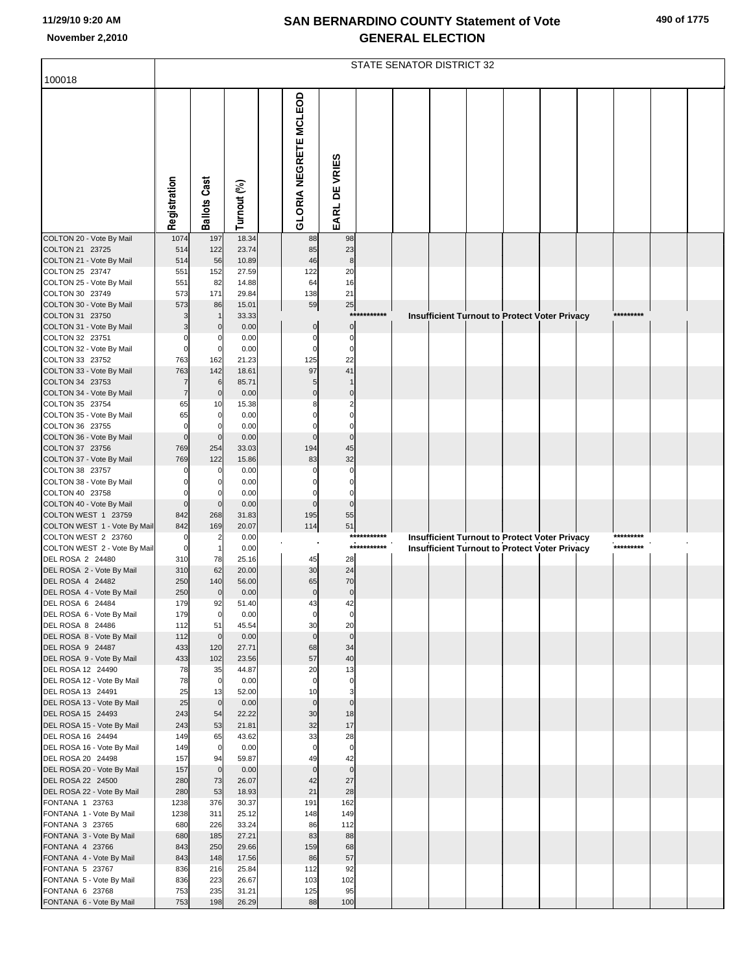|  |  | 490 of 1775 |
|--|--|-------------|
|--|--|-------------|

|                                                     | <b>STATE SENATOR DISTRICT 32</b> |                         |                |  |                              |                      |             |  |  |  |  |                                                      |           |  |
|-----------------------------------------------------|----------------------------------|-------------------------|----------------|--|------------------------------|----------------------|-------------|--|--|--|--|------------------------------------------------------|-----------|--|
| 100018                                              |                                  |                         |                |  |                              |                      |             |  |  |  |  |                                                      |           |  |
|                                                     | Registration                     | <b>Ballots Cast</b>     | Turnout (%)    |  | <b>GLORIA NEGRETE MCLEOD</b> | EARL DE VRIES        |             |  |  |  |  |                                                      |           |  |
| COLTON 20 - Vote By Mail                            | 1074                             | 197                     | 18.34          |  | 88                           | 98                   |             |  |  |  |  |                                                      |           |  |
| COLTON 21 23725<br>COLTON 21 - Vote By Mail         | 514<br>514                       | 122<br>56               | 23.74<br>10.89 |  | 85<br>46                     | 23<br>8              |             |  |  |  |  |                                                      |           |  |
| COLTON 25 23747                                     | 551                              | 152                     | 27.59          |  | 122                          | 20                   |             |  |  |  |  |                                                      |           |  |
| COLTON 25 - Vote By Mail                            | 551                              | 82                      | 14.88          |  | 64                           | 16                   |             |  |  |  |  |                                                      |           |  |
| COLTON 30 23749<br>COLTON 30 - Vote By Mail         | 573<br>573                       | 171<br>86               | 29.84<br>15.01 |  | 138<br>59                    | 21<br>25             |             |  |  |  |  |                                                      |           |  |
| COLTON 31 23750                                     |                                  |                         | 33.33          |  |                              |                      | *********** |  |  |  |  | <b>Insufficient Turnout to Protect Voter Privacy</b> |           |  |
| COLTON 31 - Vote By Mail                            |                                  | $\Omega$                | 0.00           |  | $\mathbf 0$                  | $\mathbf 0$          |             |  |  |  |  |                                                      |           |  |
| COLTON 32 23751<br>COLTON 32 - Vote By Mail         | $\Omega$<br>$\mathbf 0$          | $\Omega$<br>$\mathbf 0$ | 0.00<br>0.00   |  | $\Omega$<br>$\Omega$         | $\Omega$<br>$\Omega$ |             |  |  |  |  |                                                      |           |  |
| COLTON 33 23752                                     | 763                              | 162                     | 21.23          |  | 125                          | 22                   |             |  |  |  |  |                                                      |           |  |
| COLTON 33 - Vote By Mail                            | 763                              | 142                     | 18.61          |  | 97                           | 41                   |             |  |  |  |  |                                                      |           |  |
| COLTON 34 23753<br>COLTON 34 - Vote By Mail         | $\overline{7}$                   | 6<br>$\mathbf 0$        | 85.71<br>0.00  |  | $\Omega$                     | $\mathbf 0$          |             |  |  |  |  |                                                      |           |  |
| COLTON 35 23754                                     | 65                               | 10                      | 15.38          |  |                              |                      |             |  |  |  |  |                                                      |           |  |
| COLTON 35 - Vote By Mail                            | 65                               | $\mathbf 0$             | 0.00           |  |                              |                      |             |  |  |  |  |                                                      |           |  |
| COLTON 36 23755<br>COLTON 36 - Vote By Mail         | $\mathbf 0$<br>$\mathbf 0$       | 0<br>$\Omega$           | 0.00<br>0.00   |  | $\Omega$                     | $\Omega$             |             |  |  |  |  |                                                      |           |  |
| COLTON 37 23756                                     | 769                              | 254                     | 33.03          |  | 194                          | 45                   |             |  |  |  |  |                                                      |           |  |
| COLTON 37 - Vote By Mail                            | 769                              | 122                     | 15.86          |  | 83                           | 32                   |             |  |  |  |  |                                                      |           |  |
| COLTON 38 23757                                     | $\Omega$                         | $\Omega$                | 0.00           |  |                              |                      |             |  |  |  |  |                                                      |           |  |
| COLTON 38 - Vote By Mail<br>COLTON 40 23758         | $\Omega$                         | $\Omega$                | 0.00<br>0.00   |  |                              |                      |             |  |  |  |  |                                                      |           |  |
| COLTON 40 - Vote By Mail                            | $\mathbf 0$                      | $\overline{0}$          | 0.00           |  | $\Omega$                     | $\Omega$             |             |  |  |  |  |                                                      |           |  |
| COLTON WEST 1 23759                                 | 842                              | 268                     | 31.83          |  | 195                          | 55                   |             |  |  |  |  |                                                      |           |  |
| COLTON WEST 1 - Vote By Mail<br>COLTON WEST 2 23760 | 842<br>$\Omega$                  | 169<br>$\overline{2}$   | 20.07<br>0.00  |  | 114                          | 51                   | *********** |  |  |  |  | <b>Insufficient Turnout to Protect Voter Privacy</b> | ********* |  |
| COLTON WEST 2 - Vote By Mail                        | $\mathbf 0$                      |                         | 0.00           |  |                              |                      | *********** |  |  |  |  | <b>Insufficient Turnout to Protect Voter Privacy</b> | ********* |  |
| DEL ROSA 2 24480                                    | 310                              | 78                      | 25.16          |  | 45                           | 28                   |             |  |  |  |  |                                                      |           |  |
| DEL ROSA 2 - Vote By Mail<br>DEL ROSA 4 24482       | 310<br>250                       | 62<br>140               | 20.00<br>56.00 |  | 30<br>65                     | 24<br>70             |             |  |  |  |  |                                                      |           |  |
| DEL ROSA 4 - Vote By Mail                           | 250                              | $\mathbf 0$             | 0.00           |  | $\mathbf 0$                  | $\pmb{0}$            |             |  |  |  |  |                                                      |           |  |
| DEL ROSA 6 24484                                    | 179                              | 92                      | 51.40          |  | 4:                           | 42                   |             |  |  |  |  |                                                      |           |  |
| DEL ROSA 6 - Vote By Mail<br>DEL ROSA 8 24486       | 179<br>112                       | $\mathbf 0$<br>51       | 0.00<br>45.54  |  | $\mathbf 0$<br>30            | $\mathbf 0$<br>20    |             |  |  |  |  |                                                      |           |  |
| DEL ROSA 8 - Vote By Mail                           | 112                              | $\mathbf 0$             | 0.00           |  | $\mathbf 0$                  | $\mathbf 0$          |             |  |  |  |  |                                                      |           |  |
| DEL ROSA 9 24487                                    | 433                              | 120                     | 27.71          |  | 68                           | 34                   |             |  |  |  |  |                                                      |           |  |
| DEL ROSA 9 - Vote By Mail<br>DEL ROSA 12 24490      | 433<br>78                        | 102<br>35               | 23.56<br>44.87 |  | 57<br>20                     | 40<br>13             |             |  |  |  |  |                                                      |           |  |
| DEL ROSA 12 - Vote By Mail                          | 78                               | $\mathbf 0$             | 0.00           |  | $\mathbf 0$                  | 0                    |             |  |  |  |  |                                                      |           |  |
| DEL ROSA 13 24491                                   | 25                               | 13                      | 52.00          |  | 10                           | 3                    |             |  |  |  |  |                                                      |           |  |
| DEL ROSA 13 - Vote By Mail<br>DEL ROSA 15 24493     | 25<br>243                        | $\mathbf 0$<br>54       | 0.00<br>22.22  |  | $\mathbf{0}$<br>30           | $\mathbf 0$<br>18    |             |  |  |  |  |                                                      |           |  |
| DEL ROSA 15 - Vote By Mail                          | 243                              | 53                      | 21.81          |  | 32                           | 17                   |             |  |  |  |  |                                                      |           |  |
| DEL ROSA 16 24494                                   | 149                              | 65                      | 43.62          |  | 33                           | 28                   |             |  |  |  |  |                                                      |           |  |
| DEL ROSA 16 - Vote By Mail<br>DEL ROSA 20 24498     | 149<br>157                       | $\mathbf 0$<br>94       | 0.00<br>59.87  |  | 49                           | 0<br>42              |             |  |  |  |  |                                                      |           |  |
| DEL ROSA 20 - Vote By Mail                          | 157                              | $\mathbf 0$             | 0.00           |  | $\mathbf 0$                  | $\mathbf 0$          |             |  |  |  |  |                                                      |           |  |
| DEL ROSA 22 24500                                   | 280                              | 73                      | 26.07          |  | 42                           | 27                   |             |  |  |  |  |                                                      |           |  |
| DEL ROSA 22 - Vote By Mail<br>FONTANA 1 23763       | 280<br>1238                      | 53<br>376               | 18.93<br>30.37 |  | 21<br>191                    | 28<br>162            |             |  |  |  |  |                                                      |           |  |
| FONTANA 1 - Vote By Mail                            | 1238                             | 311                     | 25.12          |  | 148                          | 149                  |             |  |  |  |  |                                                      |           |  |
| FONTANA 3 23765                                     | 680                              | 226                     | 33.24          |  | 86                           | 112                  |             |  |  |  |  |                                                      |           |  |
| FONTANA 3 - Vote By Mail<br>FONTANA 4 23766         | 680<br>843                       | 185<br>250              | 27.21<br>29.66 |  | 83<br>159                    | 88<br>68             |             |  |  |  |  |                                                      |           |  |
| FONTANA 4 - Vote By Mail                            | 843                              | 148                     | 17.56          |  | 86                           | 57                   |             |  |  |  |  |                                                      |           |  |
| FONTANA 5 23767                                     | 836                              | 216                     | 25.84          |  | 112                          | 92                   |             |  |  |  |  |                                                      |           |  |
| FONTANA 5 - Vote By Mail                            | 836                              | 223                     | 26.67          |  | 103                          | 102                  |             |  |  |  |  |                                                      |           |  |
| FONTANA 6 23768<br>FONTANA 6 - Vote By Mail         | 753<br>753                       | 235<br>198              | 31.21<br>26.29 |  | 125<br>88                    | 95<br>100            |             |  |  |  |  |                                                      |           |  |
|                                                     |                                  |                         |                |  |                              |                      |             |  |  |  |  |                                                      |           |  |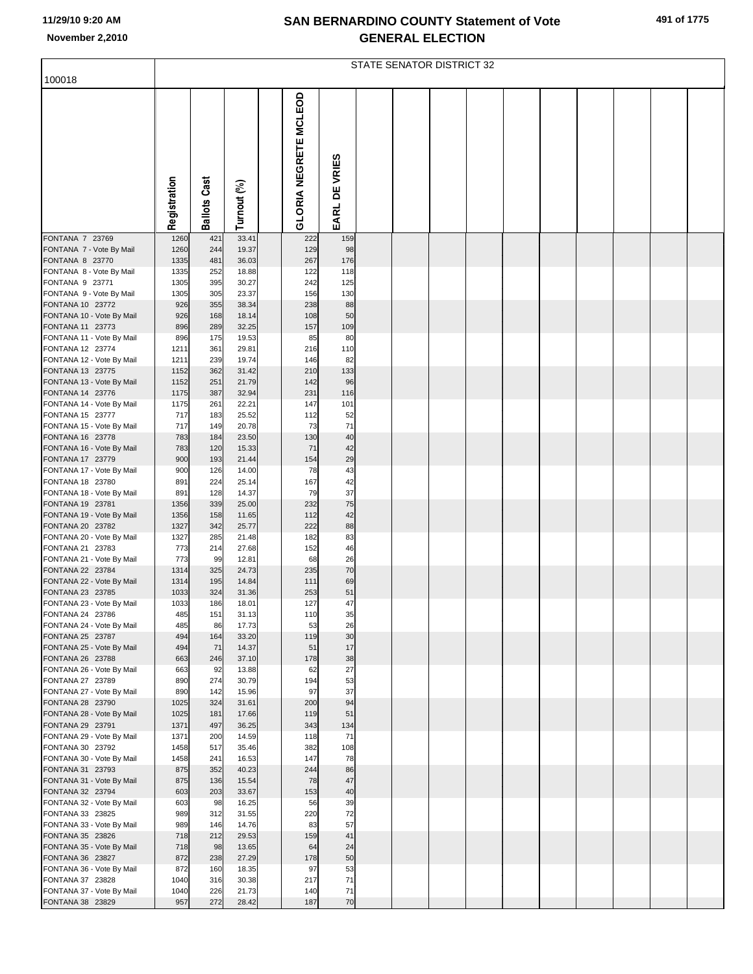|  |  | 491 of 1775 |  |
|--|--|-------------|--|
|--|--|-------------|--|

|                                               |              | STATE SENATOR DISTRICT 32 |                |  |                       |               |  |  |  |  |  |  |  |  |
|-----------------------------------------------|--------------|---------------------------|----------------|--|-----------------------|---------------|--|--|--|--|--|--|--|--|
| 100018                                        |              |                           |                |  |                       |               |  |  |  |  |  |  |  |  |
|                                               | Registration | <b>Ballots Cast</b>       | Turnout (%)    |  | GLORIA NEGRETE MCLEOD | EARL DE VRIES |  |  |  |  |  |  |  |  |
| FONTANA 7 23769                               | 1260         | 421                       | 33.41          |  | 222                   | 159           |  |  |  |  |  |  |  |  |
| FONTANA 7 - Vote By Mail                      | 1260         | 244                       | 19.37          |  | 129                   | 98            |  |  |  |  |  |  |  |  |
| FONTANA 8 23770<br>FONTANA 8 - Vote By Mail   | 1335<br>1335 | 481<br>252                | 36.03<br>18.88 |  | 267<br>122            | 176<br>118    |  |  |  |  |  |  |  |  |
| FONTANA 9 23771                               | 1305         | 395                       | 30.27          |  | 242                   | 125           |  |  |  |  |  |  |  |  |
| FONTANA 9 - Vote By Mail                      | 1305         | 305                       | 23.37          |  | 156                   | 130           |  |  |  |  |  |  |  |  |
| FONTANA 10 23772                              | 926          | 355                       | 38.34          |  | 238                   | 88            |  |  |  |  |  |  |  |  |
| FONTANA 10 - Vote By Mail<br>FONTANA 11 23773 | 926<br>896   | 168<br>289                | 18.14<br>32.25 |  | 108<br>157            | 50<br>109     |  |  |  |  |  |  |  |  |
| FONTANA 11 - Vote By Mail                     | 896          | 175                       | 19.53          |  | 85                    | 80            |  |  |  |  |  |  |  |  |
| FONTANA 12 23774                              | 1211         | 361                       | 29.81          |  | 216                   | 110           |  |  |  |  |  |  |  |  |
| FONTANA 12 - Vote By Mail                     | 1211         | 239                       | 19.74          |  | 146                   | 82            |  |  |  |  |  |  |  |  |
| FONTANA 13 23775                              | 1152<br>1152 | 362<br>251                | 31.42<br>21.79 |  | 210<br>142            | 133<br>96     |  |  |  |  |  |  |  |  |
| FONTANA 13 - Vote By Mail<br>FONTANA 14 23776 | 1175         | 387                       | 32.94          |  | 231                   | 116           |  |  |  |  |  |  |  |  |
| FONTANA 14 - Vote By Mail                     | 1175         | 261                       | 22.21          |  | 147                   | 101           |  |  |  |  |  |  |  |  |
| FONTANA 15 23777                              | 717          | 183                       | 25.52          |  | 112                   | 52            |  |  |  |  |  |  |  |  |
| FONTANA 15 - Vote By Mail                     | 717          | 149                       | 20.78          |  | 73                    | 71            |  |  |  |  |  |  |  |  |
| FONTANA 16 23778<br>FONTANA 16 - Vote By Mail | 783<br>783   | 184<br>120                | 23.50<br>15.33 |  | 130<br>71             | 40<br>42      |  |  |  |  |  |  |  |  |
| FONTANA 17 23779                              | 900          | 193                       | 21.44          |  | 154                   | 29            |  |  |  |  |  |  |  |  |
| FONTANA 17 - Vote By Mail                     | 900          | 126                       | 14.00          |  | 78                    | 43            |  |  |  |  |  |  |  |  |
| FONTANA 18 23780                              | 891          | 224                       | 25.14          |  | 167                   | 42            |  |  |  |  |  |  |  |  |
| FONTANA 18 - Vote By Mail<br>FONTANA 19 23781 | 891<br>1356  | 128<br>339                | 14.37<br>25.00 |  | 79<br>232             | 37<br>75      |  |  |  |  |  |  |  |  |
| FONTANA 19 - Vote By Mail                     | 1356         | 158                       | 11.65          |  | 112                   | 42            |  |  |  |  |  |  |  |  |
| FONTANA 20 23782                              | 1327         | 342                       | 25.77          |  | 222                   | 88            |  |  |  |  |  |  |  |  |
| FONTANA 20 - Vote By Mail                     | 1327         | 285                       | 21.48          |  | 182                   | 83            |  |  |  |  |  |  |  |  |
| FONTANA 21 23783<br>FONTANA 21 - Vote By Mail | 773<br>773   | 214<br>99                 | 27.68<br>12.81 |  | 152<br>68             | 46<br>26      |  |  |  |  |  |  |  |  |
| FONTANA 22 23784                              | 1314         | 325                       | 24.73          |  | 235                   | 70            |  |  |  |  |  |  |  |  |
| FONTANA 22 - Vote By Mail                     | 1314         | 195                       | 14.84          |  | 111                   | 69            |  |  |  |  |  |  |  |  |
| FONTANA 23 23785                              | 1033         | 324                       | 31.36          |  | 253                   | 51            |  |  |  |  |  |  |  |  |
| FONTANA 23 - Vote By Mail<br>FONTANA 24 23786 | 1033<br>485  | 186<br>151                | 18.01<br>31.13 |  | 127<br>110            | 47            |  |  |  |  |  |  |  |  |
| FONTANA 24 - Vote By Mail                     | 485          | 86                        | 17.73          |  | 53                    | 35<br>26      |  |  |  |  |  |  |  |  |
| FONTANA 25 23787                              | 494          | 164                       | 33.20          |  | 119                   | 30            |  |  |  |  |  |  |  |  |
| FONTANA 25 - Vote By Mail                     | 494          | 71                        | 14.37          |  | 51                    | 17            |  |  |  |  |  |  |  |  |
| FONTANA 26 23788<br>FONTANA 26 - Vote By Mail | 663<br>663   | 246<br>92                 | 37.10<br>13.88 |  | 178<br>62             | 38<br>27      |  |  |  |  |  |  |  |  |
| FONTANA 27 23789                              | 890          | 274                       | 30.79          |  | 194                   | 53            |  |  |  |  |  |  |  |  |
| FONTANA 27 - Vote By Mail                     | 890          | 142                       | 15.96          |  | 97                    | 37            |  |  |  |  |  |  |  |  |
| FONTANA 28 23790                              | 1025         | 324                       | 31.61          |  | 200                   | 94            |  |  |  |  |  |  |  |  |
| FONTANA 28 - Vote By Mail<br>FONTANA 29 23791 | 1025<br>1371 | 181<br>497                | 17.66<br>36.25 |  | 119<br>343            | 51<br>134     |  |  |  |  |  |  |  |  |
| FONTANA 29 - Vote By Mail                     | 1371         | 200                       | 14.59          |  | 118                   | 71            |  |  |  |  |  |  |  |  |
| FONTANA 30 23792                              | 1458         | 517                       | 35.46          |  | 382                   | 108           |  |  |  |  |  |  |  |  |
| FONTANA 30 - Vote By Mail                     | 1458         | 241                       | 16.53          |  | 147                   | 78            |  |  |  |  |  |  |  |  |
| FONTANA 31 23793                              | 875          | 352                       | 40.23          |  | 244                   | 86<br>47      |  |  |  |  |  |  |  |  |
| FONTANA 31 - Vote By Mail<br>FONTANA 32 23794 | 875<br>603   | 136<br>203                | 15.54<br>33.67 |  | 78<br>153             | 40            |  |  |  |  |  |  |  |  |
| FONTANA 32 - Vote By Mail                     | 603          | 98                        | 16.25          |  | 56                    | 39            |  |  |  |  |  |  |  |  |
| FONTANA 33 23825                              | 989          | 312                       | 31.55          |  | 220                   | 72            |  |  |  |  |  |  |  |  |
| FONTANA 33 - Vote By Mail                     | 989          | 146                       | 14.76          |  | 83                    | 57<br>41      |  |  |  |  |  |  |  |  |
| FONTANA 35 23826<br>FONTANA 35 - Vote By Mail | 718<br>718   | 212<br>98                 | 29.53<br>13.65 |  | 159<br>64             | 24            |  |  |  |  |  |  |  |  |
| FONTANA 36 23827                              | 872          | 238                       | 27.29          |  | 178                   | 50            |  |  |  |  |  |  |  |  |
| FONTANA 36 - Vote By Mail                     | 872          | 160                       | 18.35          |  | 97                    | 53            |  |  |  |  |  |  |  |  |
| FONTANA 37 23828                              | 1040         | 316                       | 30.38          |  | 217                   | 71            |  |  |  |  |  |  |  |  |
| FONTANA 37 - Vote By Mail<br>FONTANA 38 23829 | 1040<br>957  | 226<br>272                | 21.73<br>28.42 |  | 140<br>187            | 71<br>70      |  |  |  |  |  |  |  |  |
|                                               |              |                           |                |  |                       |               |  |  |  |  |  |  |  |  |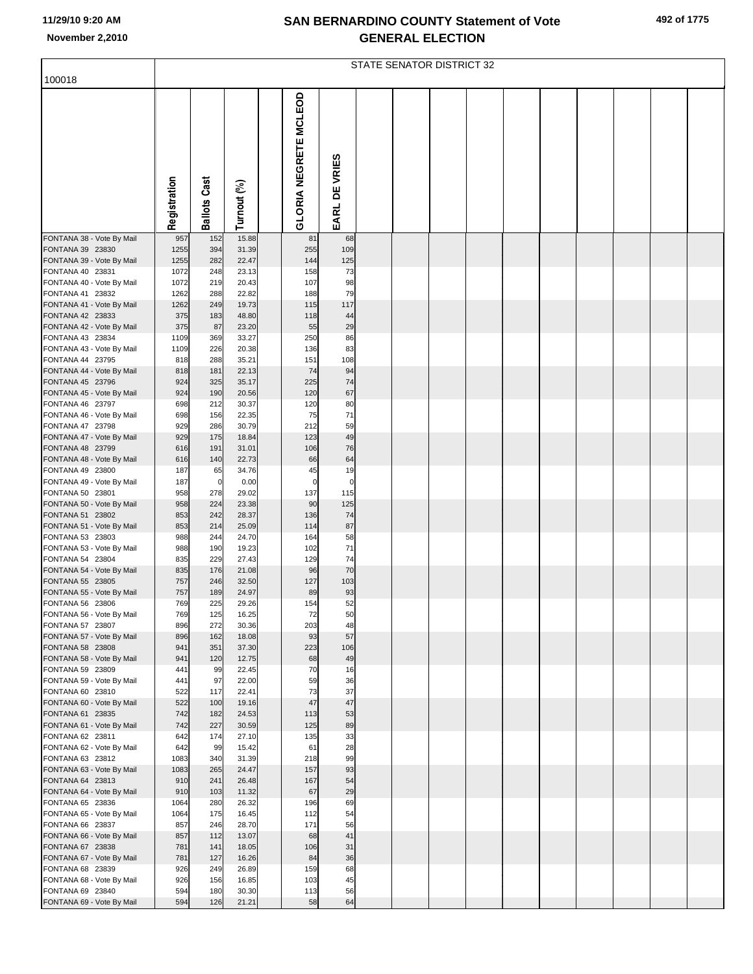| 492 of 1775 |  |  |
|-------------|--|--|
|-------------|--|--|

|                                               |              | STATE SENATOR DISTRICT 32 |                |  |                       |                   |  |  |  |  |  |  |  |  |
|-----------------------------------------------|--------------|---------------------------|----------------|--|-----------------------|-------------------|--|--|--|--|--|--|--|--|
| 100018                                        |              |                           |                |  |                       |                   |  |  |  |  |  |  |  |  |
|                                               | Registration | <b>Ballots Cast</b>       | Turnout (%)    |  | GLORIA NEGRETE MCLEOD | EARL DE VRIES     |  |  |  |  |  |  |  |  |
| FONTANA 38 - Vote By Mail                     | 957          | 152                       | 15.88          |  | 81                    | 68                |  |  |  |  |  |  |  |  |
| FONTANA 39 23830<br>FONTANA 39 - Vote By Mail | 1255<br>1255 | 394<br>282                | 31.39<br>22.47 |  | 255<br>144            | 109<br>125        |  |  |  |  |  |  |  |  |
| FONTANA 40 23831                              | 1072         | 248                       | 23.13          |  | 158                   | 73                |  |  |  |  |  |  |  |  |
| FONTANA 40 - Vote By Mail                     | 1072         | 219                       | 20.43          |  | 107                   | 98                |  |  |  |  |  |  |  |  |
| FONTANA 41 23832<br>FONTANA 41 - Vote By Mail | 1262<br>1262 | 288<br>249                | 22.82<br>19.73 |  | 188<br>115            | 79<br>117         |  |  |  |  |  |  |  |  |
| FONTANA 42 23833                              | 375          | 183                       | 48.80          |  | 118                   | 44                |  |  |  |  |  |  |  |  |
| FONTANA 42 - Vote By Mail                     | 375          | 87                        | 23.20          |  | 55                    | 29                |  |  |  |  |  |  |  |  |
| FONTANA 43 23834<br>FONTANA 43 - Vote By Mail | 1109<br>1109 | 369<br>226                | 33.27<br>20.38 |  | 250<br>136            | 86<br>83          |  |  |  |  |  |  |  |  |
| FONTANA 44 23795                              | 818          | 288                       | 35.21          |  | 151                   | 108               |  |  |  |  |  |  |  |  |
| FONTANA 44 - Vote By Mail                     | 818          | 181                       | 22.13          |  | 74                    | 94                |  |  |  |  |  |  |  |  |
| FONTANA 45 23796<br>FONTANA 45 - Vote By Mail | 924<br>924   | 325<br>190                | 35.17<br>20.56 |  | 225<br>120            | 74<br>67          |  |  |  |  |  |  |  |  |
| FONTANA 46 23797                              | 698          | 212                       | 30.37          |  | 120                   | 80                |  |  |  |  |  |  |  |  |
| FONTANA 46 - Vote By Mail                     | 698          | 156                       | 22.35          |  | 75                    | 71                |  |  |  |  |  |  |  |  |
| FONTANA 47 23798                              | 929<br>929   | 286<br>175                | 30.79<br>18.84 |  | 212<br>123            | 59<br>49          |  |  |  |  |  |  |  |  |
| FONTANA 47 - Vote By Mail<br>FONTANA 48 23799 | 616          | 191                       | 31.01          |  | 106                   | 76                |  |  |  |  |  |  |  |  |
| FONTANA 48 - Vote By Mail                     | 616          | 140                       | 22.73          |  | 66                    | 64                |  |  |  |  |  |  |  |  |
| FONTANA 49 23800                              | 187          | 65                        | 34.76          |  | 45                    | 19<br>$\mathbf 0$ |  |  |  |  |  |  |  |  |
| FONTANA 49 - Vote By Mail<br>FONTANA 50 23801 | 187<br>958   | $\overline{0}$<br>278     | 0.00<br>29.02  |  | $\mathbf 0$<br>137    | 115               |  |  |  |  |  |  |  |  |
| FONTANA 50 - Vote By Mail                     | 958          | 224                       | 23.38          |  | 90                    | 125               |  |  |  |  |  |  |  |  |
| FONTANA 51 23802<br>FONTANA 51 - Vote By Mail | 853<br>853   | 242<br>214                | 28.37<br>25.09 |  | 136<br>114            | 74<br>87          |  |  |  |  |  |  |  |  |
| FONTANA 53 23803                              | 988          | 244                       | 24.70          |  | 164                   | 58                |  |  |  |  |  |  |  |  |
| FONTANA 53 - Vote By Mail                     | 988          | 190                       | 19.23          |  | 102                   | 71                |  |  |  |  |  |  |  |  |
| FONTANA 54 23804<br>FONTANA 54 - Vote By Mail | 835<br>835   | 229<br>176                | 27.43<br>21.08 |  | 129<br>96             | 74<br>70          |  |  |  |  |  |  |  |  |
| FONTANA 55 23805                              | 757          | 246                       | 32.50          |  | 127                   | 103               |  |  |  |  |  |  |  |  |
| FONTANA 55 - Vote By Mail                     | 757          | 189                       | 24.97          |  | 89                    | 93                |  |  |  |  |  |  |  |  |
| FONTANA 56 23806                              | 769<br>769   | 225                       | 29.26          |  | 154                   | 52                |  |  |  |  |  |  |  |  |
| FONTANA 56 - Vote By Mail<br>FONTANA 57 23807 | 896          | 125<br>272                | 16.25<br>30.36 |  | 72<br>203             | 50<br>48          |  |  |  |  |  |  |  |  |
| FONTANA 57 - Vote By Mail                     | 896          | 162                       | 18.08          |  | 93                    | 57                |  |  |  |  |  |  |  |  |
| FONTANA 58 23808<br>FONTANA 58 - Vote By Mail | 941<br>941   | 351<br>120                | 37.30<br>12.75 |  | 223<br>68             | 106<br>49         |  |  |  |  |  |  |  |  |
| FONTANA 59 23809                              | 441          | 99                        | 22.45          |  | 70                    | 16                |  |  |  |  |  |  |  |  |
| FONTANA 59 - Vote By Mail                     | 441          | 97                        | 22.00          |  | 59                    | 36                |  |  |  |  |  |  |  |  |
| FONTANA 60 23810<br>FONTANA 60 - Vote By Mail | 522<br>522   | 117<br>100                | 22.41<br>19.16 |  | 73<br>47              | 37<br>47          |  |  |  |  |  |  |  |  |
| FONTANA 61 23835                              | 742          | 182                       | 24.53          |  | 113                   | 53                |  |  |  |  |  |  |  |  |
| FONTANA 61 - Vote By Mail                     | 742          | 227                       | 30.59          |  | 125                   | 89                |  |  |  |  |  |  |  |  |
| FONTANA 62 23811<br>FONTANA 62 - Vote By Mail | 642<br>642   | 174<br>99                 | 27.10<br>15.42 |  | 135<br>61             | 33<br>28          |  |  |  |  |  |  |  |  |
| FONTANA 63 23812                              | 1083         | 340                       | 31.39          |  | 218                   | 99                |  |  |  |  |  |  |  |  |
| FONTANA 63 - Vote By Mail                     | 1083         | 265                       | 24.47          |  | 157                   | 93                |  |  |  |  |  |  |  |  |
| FONTANA 64 23813<br>FONTANA 64 - Vote By Mail | 910<br>910   | 241<br>103                | 26.48<br>11.32 |  | 167<br>67             | 54<br>29          |  |  |  |  |  |  |  |  |
| FONTANA 65 23836                              | 1064         | 280                       | 26.32          |  | 196                   | 69                |  |  |  |  |  |  |  |  |
| FONTANA 65 - Vote By Mail                     | 1064         | 175                       | 16.45          |  | 112                   | 54                |  |  |  |  |  |  |  |  |
| FONTANA 66 23837<br>FONTANA 66 - Vote By Mail | 857<br>857   | 246<br>112                | 28.70<br>13.07 |  | 171<br>68             | 56<br>41          |  |  |  |  |  |  |  |  |
| FONTANA 67 23838                              | 781          | 141                       | 18.05          |  | 106                   | 31                |  |  |  |  |  |  |  |  |
| FONTANA 67 - Vote By Mail                     | 781          | 127                       | 16.26          |  | 84                    | 36                |  |  |  |  |  |  |  |  |
| FONTANA 68 23839                              | 926          | 249                       | 26.89          |  | 159                   | 68                |  |  |  |  |  |  |  |  |
| FONTANA 68 - Vote By Mail<br>FONTANA 69 23840 | 926<br>594   | 156<br>180                | 16.85<br>30.30 |  | 103<br>113            | 45<br>56          |  |  |  |  |  |  |  |  |
| FONTANA 69 - Vote By Mail                     | 594          | 126                       | 21.21          |  | 58                    | 64                |  |  |  |  |  |  |  |  |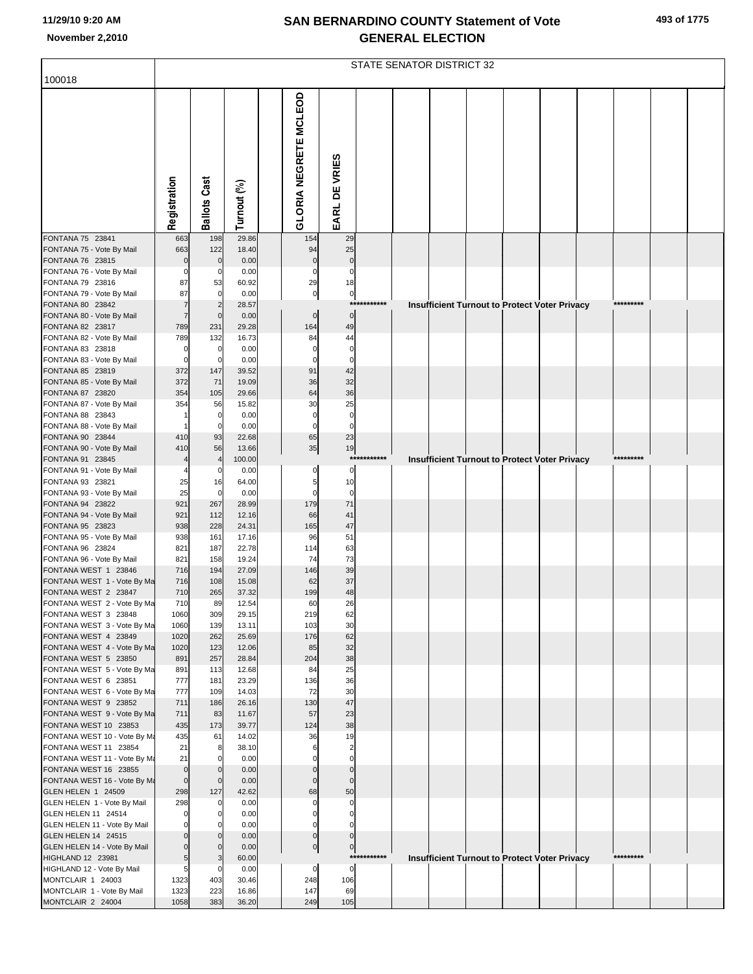|                                                       |                    | STATE SENATOR DISTRICT 32 |                 |  |                            |                               |             |  |  |  |  |                                                      |           |  |
|-------------------------------------------------------|--------------------|---------------------------|-----------------|--|----------------------------|-------------------------------|-------------|--|--|--|--|------------------------------------------------------|-----------|--|
| 100018                                                |                    |                           |                 |  |                            |                               |             |  |  |  |  |                                                      |           |  |
|                                                       | Registration       | <b>Ballots Cast</b>       | Turnout (%)     |  | GLORIA NEGRETE MCLEOD      | EARL DE VRIES                 |             |  |  |  |  |                                                      |           |  |
| FONTANA 75 23841                                      | 663                | 198                       | 29.86           |  | 154                        | 29                            |             |  |  |  |  |                                                      |           |  |
| FONTANA 75 - Vote By Mail<br>FONTANA 76 23815         | 663<br>$\mathbf 0$ | 122<br>$\mathbf 0$        | 18.40<br>0.00   |  | 94<br>$\mathbf 0$          | 25<br>$\mathbf 0$             |             |  |  |  |  |                                                      |           |  |
| FONTANA 76 - Vote By Mail                             | $\mathbf 0$        | 0                         | 0.00            |  | $\mathbf 0$                | $\mathbf 0$                   |             |  |  |  |  |                                                      |           |  |
| FONTANA 79 23816                                      | 87                 | 53                        | 60.92           |  | 29                         | 18                            |             |  |  |  |  |                                                      |           |  |
| FONTANA 79 - Vote By Mail<br>FONTANA 80 23842         | 87<br>7            | 0                         | 0.00<br>28.57   |  | $\circ$                    | $\circ$                       | *********** |  |  |  |  | Insufficient Turnout to Protect Voter Privacy        | ********* |  |
| FONTANA 80 - Vote By Mail                             | $\overline{7}$     | $\Omega$                  | 0.00            |  | $\mathbf 0$                | $\overline{0}$                |             |  |  |  |  |                                                      |           |  |
| FONTANA 82 23817                                      | 789                | 231                       | 29.28           |  | 164                        | 49                            |             |  |  |  |  |                                                      |           |  |
| FONTANA 82 - Vote By Mail<br>FONTANA 83 23818         | 789<br>$\mathbf 0$ | 132<br>$\mathbf 0$        | 16.73<br>0.00   |  | 84<br>$\mathbf 0$          | 44<br>$\mathbf 0$             |             |  |  |  |  |                                                      |           |  |
| FONTANA 83 - Vote By Mail                             | $\mathbf 0$        | $\Omega$                  | 0.00            |  | $\mathbf 0$                | $\mathbf 0$                   |             |  |  |  |  |                                                      |           |  |
| FONTANA 85 23819                                      | 372                | 147                       | 39.52           |  | 91                         | 42                            |             |  |  |  |  |                                                      |           |  |
| FONTANA 85 - Vote By Mail                             | 372                | 71                        | 19.09           |  | 36                         | 32                            |             |  |  |  |  |                                                      |           |  |
| FONTANA 87 23820<br>FONTANA 87 - Vote By Mail         | 354<br>354         | 105<br>56                 | 29.66<br>15.82  |  | 64<br>30                   | 36<br>25                      |             |  |  |  |  |                                                      |           |  |
| FONTANA 88 23843                                      |                    | 0                         | 0.00            |  | $\mathbf 0$                | $\mathbf 0$                   |             |  |  |  |  |                                                      |           |  |
| FONTANA 88 - Vote By Mail                             |                    | $\Omega$                  | 0.00            |  | $\mathbf 0$                | $\overline{0}$                |             |  |  |  |  |                                                      |           |  |
| FONTANA 90 23844                                      | 410                | 93                        | 22.68           |  | 65                         | 23                            |             |  |  |  |  |                                                      |           |  |
| FONTANA 90 - Vote By Mail<br>FONTANA 91 23845         | 410                | 56<br>$\overline{4}$      | 13.66<br>100.00 |  | 35                         | 19<br>$***$                   | *******     |  |  |  |  | <b>Insufficient Turnout to Protect Voter Privacy</b> | ********* |  |
| FONTANA 91 - Vote By Mail                             |                    | $\Omega$                  | 0.00            |  | n                          | 0                             |             |  |  |  |  |                                                      |           |  |
| FONTANA 93 23821                                      | 25                 | 16                        | 64.00           |  | 5                          | 10                            |             |  |  |  |  |                                                      |           |  |
| FONTANA 93 - Vote By Mail<br>FONTANA 94 23822         | 25<br>921          | $\mathbf 0$<br>267        | 0.00<br>28.99   |  | $\Omega$<br>179            | $\mathbf 0$<br>71             |             |  |  |  |  |                                                      |           |  |
| FONTANA 94 - Vote By Mail                             | 921                | 112                       | 12.16           |  | 66                         | 41                            |             |  |  |  |  |                                                      |           |  |
| FONTANA 95 23823                                      | 938                | 228                       | 24.31           |  | 165                        | 47                            |             |  |  |  |  |                                                      |           |  |
| FONTANA 95 - Vote By Mail                             | 938                | 161                       | 17.16           |  | 96                         | 51                            |             |  |  |  |  |                                                      |           |  |
| FONTANA 96 23824<br>FONTANA 96 - Vote By Mail         | 821<br>821         | 187<br>158                | 22.78<br>19.24  |  | 114<br>74                  | 63<br>73                      |             |  |  |  |  |                                                      |           |  |
| FONTANA WEST 1 23846                                  | 716                | 194                       | 27.09           |  | 146                        | 39                            |             |  |  |  |  |                                                      |           |  |
| FONTANA WEST 1 - Vote By Ma                           | 716                | 108                       | 15.08           |  | 62                         | 37                            |             |  |  |  |  |                                                      |           |  |
| FONTANA WEST 2 23847<br>FONTANA WEST 2 - Vote By Ma   | 710<br>710         | 265<br>89                 | 37.32<br>12.54  |  | 199<br>60                  | $\bf 48$<br>26                |             |  |  |  |  |                                                      |           |  |
| FONTANA WEST 3 23848                                  | 1060               | 309                       | 29.15           |  | 219                        | 62                            |             |  |  |  |  |                                                      |           |  |
| FONTANA WEST 3 - Vote By Ma                           | 1060               | 139                       | 13.11           |  | 103                        | 30                            |             |  |  |  |  |                                                      |           |  |
| FONTANA WEST 4 23849                                  | 1020               | 262                       | 25.69           |  | 176                        | 62                            |             |  |  |  |  |                                                      |           |  |
| FONTANA WEST 4 - Vote By Ma<br>FONTANA WEST 5 23850   | 1020<br>891        | 123<br>257                | 12.06<br>28.84  |  | 85<br>204                  | 32<br>38                      |             |  |  |  |  |                                                      |           |  |
| FONTANA WEST 5 - Vote By Ma                           | 891                | 113                       | 12.68           |  | 84                         | 25                            |             |  |  |  |  |                                                      |           |  |
| FONTANA WEST 6 23851                                  | 777                | 181                       | 23.29           |  | 136                        | 36                            |             |  |  |  |  |                                                      |           |  |
| FONTANA WEST 6 - Vote By Ma                           | 777                | 109                       | 14.03           |  | 72                         | 30                            |             |  |  |  |  |                                                      |           |  |
| FONTANA WEST 9 23852<br>FONTANA WEST 9 - Vote By Ma   | 711<br>711         | 186<br>83                 | 26.16<br>11.67  |  | 130<br>57                  | 47<br>23                      |             |  |  |  |  |                                                      |           |  |
| FONTANA WEST 10 23853                                 | 435                | 173                       | 39.77           |  | 124                        | 38                            |             |  |  |  |  |                                                      |           |  |
| FONTANA WEST 10 - Vote By Ma                          | 435                | 61                        | 14.02           |  | 36                         | 19                            |             |  |  |  |  |                                                      |           |  |
| FONTANA WEST 11 23854<br>FONTANA WEST 11 - Vote By Ma | 21<br>21           | 8<br>0                    | 38.10<br>0.00   |  | 6<br>$\Omega$              | $\overline{2}$<br>$\mathbf 0$ |             |  |  |  |  |                                                      |           |  |
| FONTANA WEST 16 23855                                 | $\mathbf 0$        | $\mathbf 0$               | 0.00            |  |                            | $\Omega$                      |             |  |  |  |  |                                                      |           |  |
| FONTANA WEST 16 - Vote By Ma                          | $\overline{0}$     | $\mathbf 0$               | 0.00            |  | $\mathbf 0$                | $\overline{0}$                |             |  |  |  |  |                                                      |           |  |
| GLEN HELEN 1 24509                                    | 298                | 127                       | 42.62           |  | 68                         | 50                            |             |  |  |  |  |                                                      |           |  |
| GLEN HELEN 1 - Vote By Mail<br>GLEN HELEN 11 24514    | 298<br>$\mathbf 0$ | 0<br>$\Omega$             | 0.00<br>0.00    |  | $\mathbf 0$<br>$\mathbf 0$ | $\mathbf 0$<br>$\mathbf 0$    |             |  |  |  |  |                                                      |           |  |
| GLEN HELEN 11 - Vote By Mail                          | $\Omega$           | $\Omega$                  | 0.00            |  | $\Omega$                   | $\Omega$                      |             |  |  |  |  |                                                      |           |  |
| GLEN HELEN 14 24515                                   |                    | $\Omega$                  | 0.00            |  | $\mathbf 0$                | $\mathbf{0}$                  |             |  |  |  |  |                                                      |           |  |
| GLEN HELEN 14 - Vote By Mail                          | $\Omega$           | $\mathbf 0$               | 0.00            |  | $\overline{0}$             | $\overline{0}$                |             |  |  |  |  |                                                      |           |  |
| HIGHLAND 12 23981<br>HIGHLAND 12 - Vote By Mail       | 5<br>5             | 3<br>0                    | 60.00<br>0.00   |  | $\mathbf 0$                | $\overline{0}$                | *********** |  |  |  |  | <b>Insufficient Turnout to Protect Voter Privacy</b> | ********* |  |
| MONTCLAIR 1 24003                                     | 1323               | 403                       | 30.46           |  | 248                        | 106                           |             |  |  |  |  |                                                      |           |  |
| MONTCLAIR 1 - Vote By Mail                            | 1323               | 223                       | 16.86           |  | 147                        | 69                            |             |  |  |  |  |                                                      |           |  |
| MONTCLAIR 2 24004                                     | 1058               | 383                       | 36.20           |  | 249                        | 105                           |             |  |  |  |  |                                                      |           |  |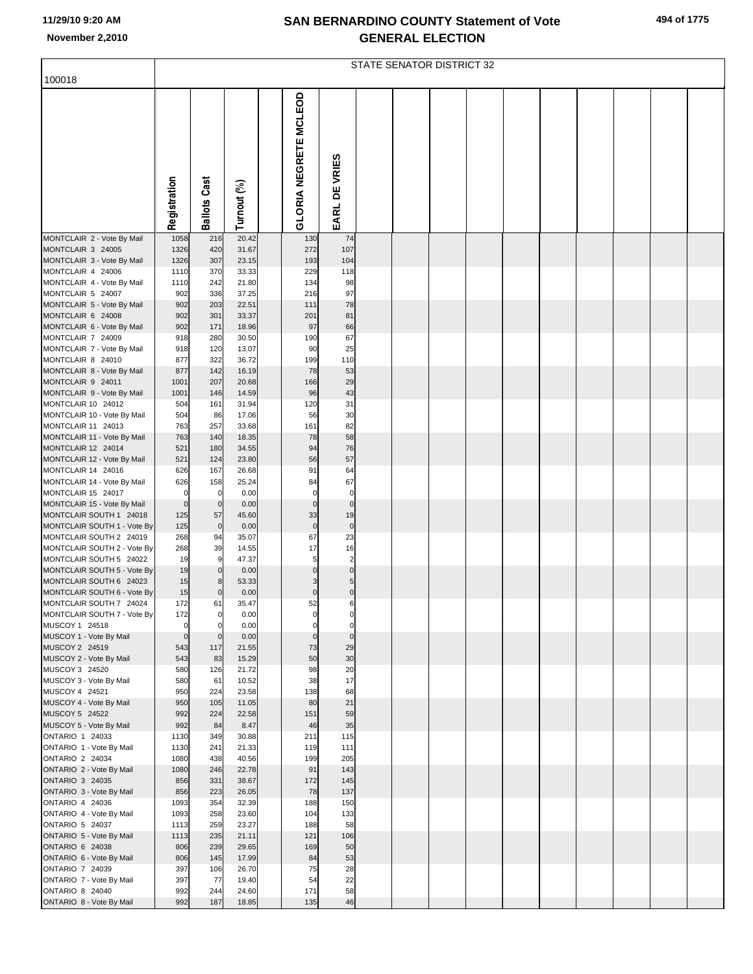|  |  | 494 of 1775 |
|--|--|-------------|
|--|--|-------------|

|                                                        |                       | <b>STATE SENATOR DISTRICT 32</b> |                |  |                       |                            |  |  |  |  |  |  |  |  |
|--------------------------------------------------------|-----------------------|----------------------------------|----------------|--|-----------------------|----------------------------|--|--|--|--|--|--|--|--|
| 100018                                                 |                       |                                  |                |  |                       |                            |  |  |  |  |  |  |  |  |
|                                                        | Registration          | <b>Ballots Cast</b>              | Turnout (%)    |  | GLORIA NEGRETE MCLEOD | EARL DE VRIES              |  |  |  |  |  |  |  |  |
| MONTCLAIR 2 - Vote By Mail                             | 1058                  | 216                              | 20.42          |  | 130                   | 74                         |  |  |  |  |  |  |  |  |
| MONTCLAIR 3 24005<br>MONTCLAIR 3 - Vote By Mail        | 1326<br>1326          | 420<br>307                       | 31.67<br>23.15 |  | 272<br>193            | 107<br>104                 |  |  |  |  |  |  |  |  |
| MONTCLAIR 4 24006                                      | 1110                  | 370                              | 33.33          |  | 229                   | 118                        |  |  |  |  |  |  |  |  |
| MONTCLAIR 4 - Vote By Mail                             | 1110                  | 242                              | 21.80          |  | 134                   | 98                         |  |  |  |  |  |  |  |  |
| MONTCLAIR 5 24007                                      | 902                   | 336                              | 37.25          |  | 216                   | 97                         |  |  |  |  |  |  |  |  |
| MONTCLAIR 5 - Vote By Mail                             | 902                   | 203                              | 22.51          |  | 111                   | 78<br>81                   |  |  |  |  |  |  |  |  |
| MONTCLAIR 6 24008<br>MONTCLAIR 6 - Vote By Mail        | 902<br>902            | 301<br>171                       | 33.37<br>18.96 |  | 201<br>97             | 66                         |  |  |  |  |  |  |  |  |
| MONTCLAIR 7 24009                                      | 918                   | 280                              | 30.50          |  | 190                   | 67                         |  |  |  |  |  |  |  |  |
| MONTCLAIR 7 - Vote By Mail                             | 918                   | 120                              | 13.07          |  | 90                    | 25                         |  |  |  |  |  |  |  |  |
| MONTCLAIR 8 24010                                      | 877                   | 322                              | 36.72          |  | 199                   | 110                        |  |  |  |  |  |  |  |  |
| MONTCLAIR 8 - Vote By Mail<br>MONTCLAIR 9 24011        | 877<br>1001           | 142<br>207                       | 16.19<br>20.68 |  | 78<br>166             | 53<br>29                   |  |  |  |  |  |  |  |  |
| MONTCLAIR 9 - Vote By Mail                             | 1001                  | 146                              | 14.59          |  | 96                    | 43                         |  |  |  |  |  |  |  |  |
| MONTCLAIR 10 24012                                     | 504                   | 161                              | 31.94          |  | 120                   | 31                         |  |  |  |  |  |  |  |  |
| MONTCLAIR 10 - Vote By Mail                            | 504                   | 86                               | 17.06          |  | 56                    | 30                         |  |  |  |  |  |  |  |  |
| MONTCLAIR 11 24013                                     | 763                   | 257                              | 33.68          |  | 161                   | 82                         |  |  |  |  |  |  |  |  |
| MONTCLAIR 11 - Vote By Mail<br>MONTCLAIR 12 24014      | 763<br>521            | 140<br>180                       | 18.35<br>34.55 |  | 78<br>94              | 58<br>76                   |  |  |  |  |  |  |  |  |
| MONTCLAIR 12 - Vote By Mail                            | 521                   | 124                              | 23.80          |  | 56                    | 57                         |  |  |  |  |  |  |  |  |
| MONTCLAIR 14 24016                                     | 626                   | 167                              | 26.68          |  | 91                    | 64                         |  |  |  |  |  |  |  |  |
| MONTCLAIR 14 - Vote By Mail                            | 626                   | 158                              | 25.24          |  | 84                    | 67                         |  |  |  |  |  |  |  |  |
| MONTCLAIR 15 24017                                     | $\mathbf 0$           | $\mathbf 0$                      | 0.00           |  | $\Omega$              | $\mathbf 0$                |  |  |  |  |  |  |  |  |
| MONTCLAIR 15 - Vote By Mail<br>MONTCLAIR SOUTH 1 24018 | $\overline{0}$<br>125 | $\mathbf 0$<br>57                | 0.00<br>45.60  |  | 0<br>33               | $\Omega$<br>19             |  |  |  |  |  |  |  |  |
| MONTCLAIR SOUTH 1 - Vote By                            | 125                   | $\pmb{0}$                        | 0.00           |  | $\mathbf 0$           | $\mathbf 0$                |  |  |  |  |  |  |  |  |
| MONTCLAIR SOUTH 2 24019                                | 268                   | 94                               | 35.07          |  | 67                    | 23                         |  |  |  |  |  |  |  |  |
| MONTCLAIR SOUTH 2 - Vote By                            | 268                   | 39                               | 14.55          |  | 17                    | 16                         |  |  |  |  |  |  |  |  |
| MONTCLAIR SOUTH 5 24022<br>MONTCLAIR SOUTH 5 - Vote By | 19<br>19              | 9<br>$\mathbf 0$                 | 47.37<br>0.00  |  | 5                     | $\overline{2}$<br>$\Omega$ |  |  |  |  |  |  |  |  |
| MONTCLAIR SOUTH 6 24023                                | 15                    | 8                                | 53.33          |  |                       | 5                          |  |  |  |  |  |  |  |  |
| MONTCLAIR SOUTH 6 - Vote By                            | 15                    | $\mathbf 0$                      | 0.00           |  | 0                     | $\mathbf 0$                |  |  |  |  |  |  |  |  |
| MONTCLAIR SOUTH 7 24024                                | 172                   | 61                               | 35.47          |  | 52                    | 6                          |  |  |  |  |  |  |  |  |
| MONTCLAIR SOUTH 7 - Vote By<br>MUSCOY 1 24518          | 172<br>$\Omega$       | $\mathbf 0$<br>$\mathbf 0$       | 0.00<br>0.00   |  | 0                     | 0<br>$\Omega$              |  |  |  |  |  |  |  |  |
| MUSCOY 1 - Vote By Mail                                | $\Omega$              | $\mathbf 0$                      | 0.00           |  | 0                     | $\Omega$                   |  |  |  |  |  |  |  |  |
| MUSCOY 2 24519                                         | 543                   | 117                              | 21.55          |  | 73                    | 29                         |  |  |  |  |  |  |  |  |
| MUSCOY 2 - Vote By Mail                                | 543                   | 83                               | 15.29          |  | 50                    | 30                         |  |  |  |  |  |  |  |  |
| MUSCOY 3 24520                                         | 580                   | 126<br>61                        | 21.72          |  | 98<br>38              | 20<br>17                   |  |  |  |  |  |  |  |  |
| MUSCOY 3 - Vote By Mail<br>MUSCOY 4 24521              | 580<br>950            | 224                              | 10.52<br>23.58 |  | 138                   | 68                         |  |  |  |  |  |  |  |  |
| MUSCOY 4 - Vote By Mail                                | 950                   | 105                              | 11.05          |  | 80                    | 21                         |  |  |  |  |  |  |  |  |
| MUSCOY 5 24522                                         | 992                   | 224                              | 22.58          |  | 151                   | 59                         |  |  |  |  |  |  |  |  |
| MUSCOY 5 - Vote By Mail                                | 992                   | 84                               | 8.47           |  | 46                    | 35                         |  |  |  |  |  |  |  |  |
| ONTARIO 1 24033<br>ONTARIO 1 - Vote By Mail            | 1130<br>1130          | 349<br>241                       | 30.88<br>21.33 |  | 211<br>119            | 115<br>111                 |  |  |  |  |  |  |  |  |
| ONTARIO 2 24034                                        | 1080                  | 438                              | 40.56          |  | 199                   | 205                        |  |  |  |  |  |  |  |  |
| ONTARIO 2 - Vote By Mail                               | 1080                  | 246                              | 22.78          |  | 91                    | 143                        |  |  |  |  |  |  |  |  |
| ONTARIO 3 24035                                        | 856                   | 331                              | 38.67          |  | 172                   | 145                        |  |  |  |  |  |  |  |  |
| ONTARIO 3 - Vote By Mail<br>ONTARIO 4 24036            | 856<br>1093           | 223<br>354                       | 26.05<br>32.39 |  | 78<br>188             | 137<br>150                 |  |  |  |  |  |  |  |  |
| ONTARIO 4 - Vote By Mail                               | 1093                  | 258                              | 23.60          |  | 104                   | 133                        |  |  |  |  |  |  |  |  |
| ONTARIO 5 24037                                        | 1113                  | 259                              | 23.27          |  | 188                   | 58                         |  |  |  |  |  |  |  |  |
| ONTARIO 5 - Vote By Mail                               | 1113                  | 235                              | 21.11          |  | 121                   | 106                        |  |  |  |  |  |  |  |  |
| ONTARIO 6 24038                                        | 806                   | 239                              | 29.65          |  | 169                   | 50                         |  |  |  |  |  |  |  |  |
| ONTARIO 6 - Vote By Mail<br>ONTARIO 7 24039            | 806<br>397            | 145<br>106                       | 17.99<br>26.70 |  | 84<br>75              | 53<br>28                   |  |  |  |  |  |  |  |  |
| ONTARIO 7 - Vote By Mail                               | 397                   | 77                               | 19.40          |  | 54                    | 22                         |  |  |  |  |  |  |  |  |
| ONTARIO 8 24040                                        | 992                   | 244                              | 24.60          |  | 171                   | 58                         |  |  |  |  |  |  |  |  |
| ONTARIO 8 - Vote By Mail                               | 992                   | 187                              | 18.85          |  | 135                   | 46                         |  |  |  |  |  |  |  |  |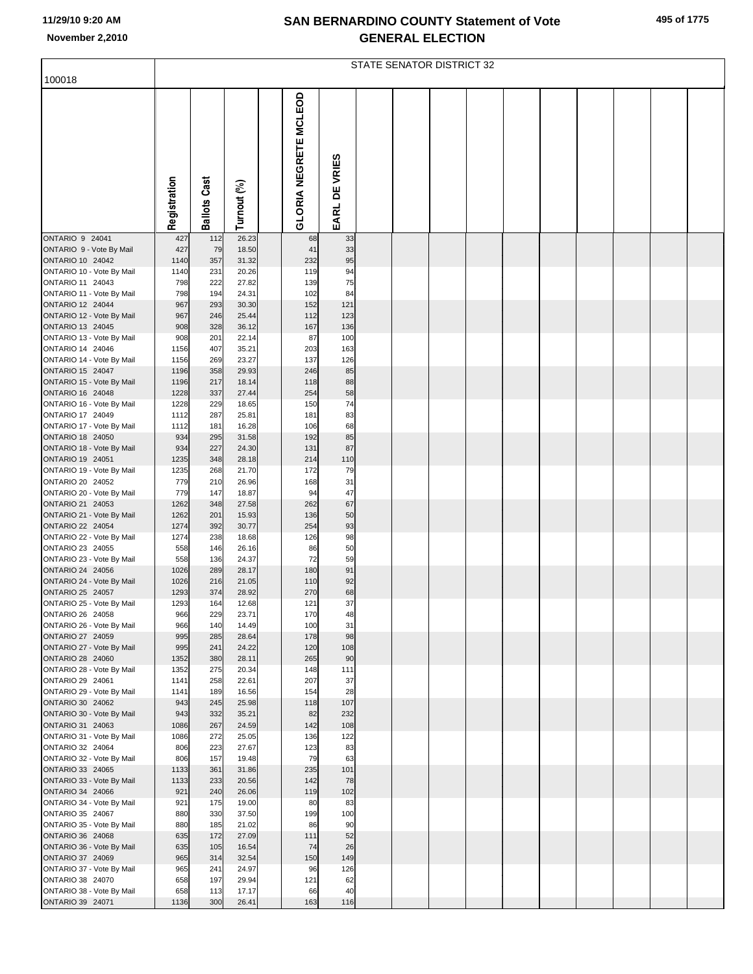| 495 of 1775 |  |  |
|-------------|--|--|
|-------------|--|--|

|                                               |              |                     |                |                       |               | <b>STATE SENATOR DISTRICT 32</b> |  |  |  |  |
|-----------------------------------------------|--------------|---------------------|----------------|-----------------------|---------------|----------------------------------|--|--|--|--|
| 100018                                        |              |                     |                |                       |               |                                  |  |  |  |  |
|                                               | Registration | <b>Ballots Cast</b> | Turnout (%)    | GLORIA NEGRETE MCLEOD | EARL DE VRIES |                                  |  |  |  |  |
| <b>ONTARIO 9 24041</b>                        | 427          | 112                 | 26.23          | 68                    | 33            |                                  |  |  |  |  |
| ONTARIO 9 - Vote By Mail<br>ONTARIO 10 24042  | 427<br>1140  | 79<br>357           | 18.50<br>31.32 | 41<br>232             | 33<br>95      |                                  |  |  |  |  |
| ONTARIO 10 - Vote By Mail                     | 1140         | 231                 | 20.26          | 119                   | 94            |                                  |  |  |  |  |
| ONTARIO 11 24043                              | 798          | 222                 | 27.82          | 139                   | 75            |                                  |  |  |  |  |
| ONTARIO 11 - Vote By Mail<br>ONTARIO 12 24044 | 798<br>967   | 194<br>293          | 24.31<br>30.30 | 102<br>152            | 84<br>121     |                                  |  |  |  |  |
| ONTARIO 12 - Vote By Mail                     | 967          | 246                 | 25.44          | 112                   | 123           |                                  |  |  |  |  |
| ONTARIO 13 24045                              | 908          | 328                 | 36.12          | 167                   | 136           |                                  |  |  |  |  |
| ONTARIO 13 - Vote By Mail<br>ONTARIO 14 24046 | 908<br>1156  | 201<br>407          | 22.14<br>35.21 | 87<br>203             | 100<br>163    |                                  |  |  |  |  |
| ONTARIO 14 - Vote By Mail                     | 1156         | 269                 | 23.27          | 137                   | 126           |                                  |  |  |  |  |
| ONTARIO 15 24047<br>ONTARIO 15 - Vote By Mail | 1196<br>1196 | 358<br>217          | 29.93<br>18.14 | 246<br>118            | 85<br>88      |                                  |  |  |  |  |
| ONTARIO 16 24048                              | 1228         | 337                 | 27.44          | 254                   | 58            |                                  |  |  |  |  |
| ONTARIO 16 - Vote By Mail                     | 1228         | 229                 | 18.65          | 150                   | 74            |                                  |  |  |  |  |
| ONTARIO 17 24049<br>ONTARIO 17 - Vote By Mail | 1112<br>1112 | 287<br>181          | 25.81<br>16.28 | 181<br>106            | 83<br>68      |                                  |  |  |  |  |
| ONTARIO 18 24050                              | 934          | 295                 | 31.58          | 192                   | 85            |                                  |  |  |  |  |
| ONTARIO 18 - Vote By Mail                     | 934          | 227                 | 24.30          | 131                   | 87            |                                  |  |  |  |  |
| ONTARIO 19 24051<br>ONTARIO 19 - Vote By Mail | 1235<br>1235 | 348<br>268          | 28.18<br>21.70 | 214<br>172            | 110<br>79     |                                  |  |  |  |  |
| ONTARIO 20 24052                              | 779          | 210                 | 26.96          | 168                   | 31            |                                  |  |  |  |  |
| ONTARIO 20 - Vote By Mail<br>ONTARIO 21 24053 | 779<br>1262  | 147                 | 18.87<br>27.58 | 94<br>262             | 47<br>67      |                                  |  |  |  |  |
| ONTARIO 21 - Vote By Mail                     | 1262         | 348<br>201          | 15.93          | 136                   | 50            |                                  |  |  |  |  |
| ONTARIO 22 24054                              | 1274         | 392                 | 30.77          | 254                   | 93            |                                  |  |  |  |  |
| ONTARIO 22 - Vote By Mail<br>ONTARIO 23 24055 | 1274<br>558  | 238<br>146          | 18.68<br>26.16 | 126<br>86             | 98<br>50      |                                  |  |  |  |  |
| ONTARIO 23 - Vote By Mail                     | 558          | 136                 | 24.37          | 72                    | 59            |                                  |  |  |  |  |
| ONTARIO 24 24056                              | 1026         | 289                 | 28.17          | 180                   | 91            |                                  |  |  |  |  |
| ONTARIO 24 - Vote By Mail<br>ONTARIO 25 24057 | 1026<br>1293 | 216<br>374          | 21.05<br>28.92 | 110<br>270            | 92<br>68      |                                  |  |  |  |  |
| ONTARIO 25 - Vote By Mail                     | 1293         | 164                 | 12.68          | 121                   | 37            |                                  |  |  |  |  |
| ONTARIO 26 24058                              | 966          | 229                 | 23.71          | 170                   | 48            |                                  |  |  |  |  |
| ONTARIO 26 - Vote By Mail<br>ONTARIO 27 24059 | 966<br>995   | 140<br>285          | 14.49<br>28.64 | 100<br>178            | 31<br>98      |                                  |  |  |  |  |
| ONTARIO 27 - Vote By Mail                     | 995          | 241                 | 24.22          | 120                   | 108           |                                  |  |  |  |  |
| ONTARIO 28 24060                              | 1352         | 380                 | 28.11          | 265                   | 90            |                                  |  |  |  |  |
| ONTARIO 28 - Vote By Mail<br>ONTARIO 29 24061 | 1352<br>1141 | 275<br>258          | 20.34<br>22.61 | 148<br>207            | 111<br>37     |                                  |  |  |  |  |
| ONTARIO 29 - Vote By Mail                     | 1141         | 189                 | 16.56          | 154                   | 28            |                                  |  |  |  |  |
| ONTARIO 30 24062<br>ONTARIO 30 - Vote By Mail | 943<br>943   | 245<br>332          | 25.98<br>35.21 | 118<br>82             | 107<br>232    |                                  |  |  |  |  |
| ONTARIO 31 24063                              | 1086         | 267                 | 24.59          | 142                   | 108           |                                  |  |  |  |  |
| ONTARIO 31 - Vote By Mail                     | 1086         | 272                 | 25.05          | 136                   | 122           |                                  |  |  |  |  |
| ONTARIO 32 24064<br>ONTARIO 32 - Vote By Mail | 806<br>806   | 223<br>157          | 27.67<br>19.48 | 123<br>79             | 83<br>63      |                                  |  |  |  |  |
| ONTARIO 33 24065                              | 1133         | 361                 | 31.86          | 235                   | 101           |                                  |  |  |  |  |
| ONTARIO 33 - Vote By Mail                     | 1133         | 233                 | 20.56          | 142                   | 78            |                                  |  |  |  |  |
| ONTARIO 34 24066<br>ONTARIO 34 - Vote By Mail | 921<br>921   | 240<br>175          | 26.06<br>19.00 | 119<br>80             | 102<br>83     |                                  |  |  |  |  |
| ONTARIO 35 24067                              | 880          | 330                 | 37.50          | 199                   | 100           |                                  |  |  |  |  |
| ONTARIO 35 - Vote By Mail                     | 880          | 185                 | 21.02          | 86                    | 90            |                                  |  |  |  |  |
| ONTARIO 36 24068<br>ONTARIO 36 - Vote By Mail | 635<br>635   | 172<br>105          | 27.09<br>16.54 | 111<br>74             | 52<br>26      |                                  |  |  |  |  |
| ONTARIO 37 24069                              | 965          | 314                 | 32.54          | 150                   | 149           |                                  |  |  |  |  |
| ONTARIO 37 - Vote By Mail                     | 965          | 241                 | 24.97          | 96                    | 126           |                                  |  |  |  |  |
| ONTARIO 38 24070<br>ONTARIO 38 - Vote By Mail | 658<br>658   | 197<br>113          | 29.94<br>17.17 | 121<br>66             | 62<br>40      |                                  |  |  |  |  |
| ONTARIO 39 24071                              | 1136         | 300                 | 26.41          | 163                   | 116           |                                  |  |  |  |  |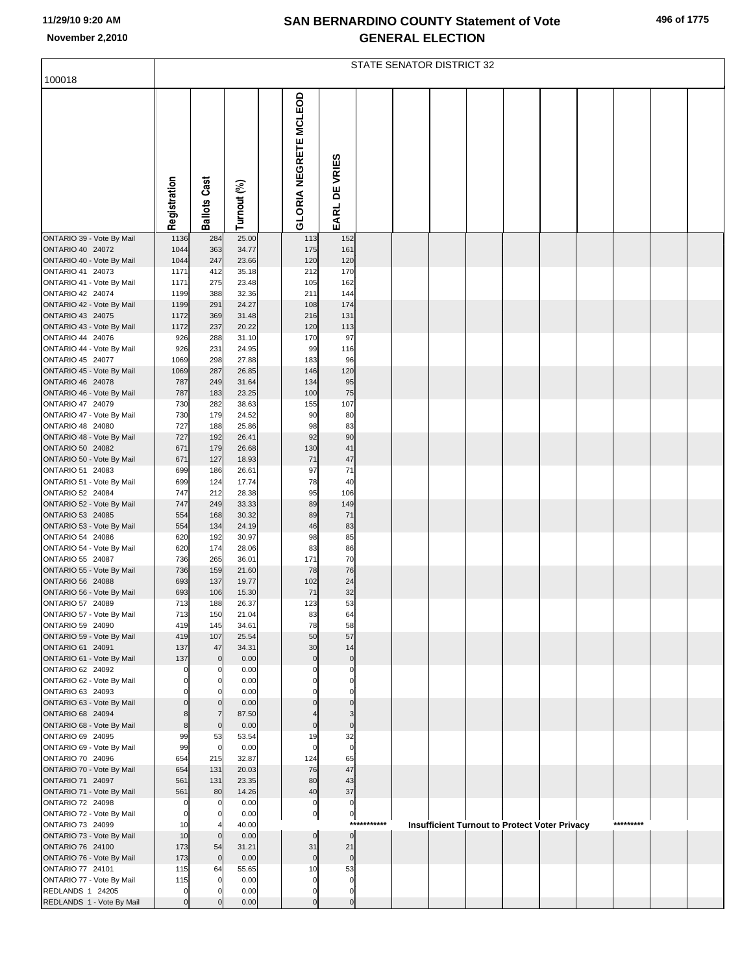|  |  | 496 of 1775 |
|--|--|-------------|
|--|--|-------------|

|                                                                                                                    |                                      |                                 |                                           |                                 |                                 |             | <b>STATE SENATOR DISTRICT 32</b> |  |                                               |           |  |
|--------------------------------------------------------------------------------------------------------------------|--------------------------------------|---------------------------------|-------------------------------------------|---------------------------------|---------------------------------|-------------|----------------------------------|--|-----------------------------------------------|-----------|--|
| 100018                                                                                                             |                                      |                                 |                                           |                                 |                                 |             |                                  |  |                                               |           |  |
|                                                                                                                    | Registration                         | <b>Ballots Cast</b>             | Turnout (%)                               | <b>GLORIA NEGRETE MCLEOD</b>    | EARL DE VRIES                   |             |                                  |  |                                               |           |  |
| ONTARIO 39 - Vote By Mail                                                                                          | 1136                                 | 284                             | 25.00                                     | 113                             | 152                             |             |                                  |  |                                               |           |  |
| ONTARIO 40 24072<br>ONTARIO 40 - Vote By Mail<br>ONTARIO 41 24073<br>ONTARIO 41 - Vote By Mail<br>ONTARIO 42 24074 | 1044<br>1044<br>1171<br>1171<br>1199 | 363<br>247<br>412<br>275<br>388 | 34.77<br>23.66<br>35.18<br>23.48<br>32.36 | 175<br>120<br>212<br>105<br>211 | 161<br>120<br>170<br>162<br>144 |             |                                  |  |                                               |           |  |
| ONTARIO 42 - Vote By Mail                                                                                          | 1199                                 | 291                             | 24.27                                     | 108                             | 174                             |             |                                  |  |                                               |           |  |
| <b>ONTARIO 43 24075</b><br>ONTARIO 43 - Vote By Mail                                                               | 1172<br>1172                         | 369<br>237                      | 31.48<br>20.22                            | 216<br>120                      | 131<br>113                      |             |                                  |  |                                               |           |  |
| ONTARIO 44 24076                                                                                                   | 926                                  | 288                             | 31.10                                     | 170                             | 97                              |             |                                  |  |                                               |           |  |
| ONTARIO 44 - Vote By Mail                                                                                          | 926                                  | 231                             | 24.95                                     | 99                              | 116                             |             |                                  |  |                                               |           |  |
| ONTARIO 45 24077<br>ONTARIO 45 - Vote By Mail                                                                      | 1069<br>1069                         | 298<br>287                      | 27.88<br>26.85                            | 183<br>146                      | 96<br>120                       |             |                                  |  |                                               |           |  |
| <b>ONTARIO 46 24078</b>                                                                                            | 787                                  | 249                             | 31.64                                     | 134                             | 95                              |             |                                  |  |                                               |           |  |
| ONTARIO 46 - Vote By Mail<br>ONTARIO 47 24079                                                                      | 787<br>730                           | 183<br>282                      | 23.25<br>38.63                            | 100<br>155                      | 75<br>107                       |             |                                  |  |                                               |           |  |
| ONTARIO 47 - Vote By Mail                                                                                          | 730                                  | 179                             | 24.52                                     | 90                              | 80                              |             |                                  |  |                                               |           |  |
| ONTARIO 48 24080                                                                                                   | 727                                  | 188                             | 25.86                                     | 98                              | 83                              |             |                                  |  |                                               |           |  |
| ONTARIO 48 - Vote By Mail<br>ONTARIO 50 24082                                                                      | 727<br>671                           | 192<br>179                      | 26.41<br>26.68                            | 92<br>130                       | 90<br>41                        |             |                                  |  |                                               |           |  |
| ONTARIO 50 - Vote By Mail                                                                                          | 671                                  | 127                             | 18.93                                     | 71                              | 47                              |             |                                  |  |                                               |           |  |
| ONTARIO 51 24083                                                                                                   | 699<br>699                           | 186<br>124                      | 26.61<br>17.74                            | 97<br>78                        | 71<br>40                        |             |                                  |  |                                               |           |  |
| ONTARIO 51 - Vote By Mail<br>ONTARIO 52 24084                                                                      | 747                                  | 212                             | 28.38                                     | 95                              | 106                             |             |                                  |  |                                               |           |  |
| ONTARIO 52 - Vote By Mail                                                                                          | 747                                  | 249                             | 33.33                                     | 89                              | 149                             |             |                                  |  |                                               |           |  |
| ONTARIO 53 24085<br>ONTARIO 53 - Vote By Mail                                                                      | 554<br>554                           | 168<br>134                      | 30.32<br>24.19                            | 89<br>46                        | 71<br>83                        |             |                                  |  |                                               |           |  |
| ONTARIO 54 24086                                                                                                   | 620                                  | 192                             | 30.97                                     | 98                              | 85                              |             |                                  |  |                                               |           |  |
| ONTARIO 54 - Vote By Mail<br>ONTARIO 55 24087                                                                      | 620<br>736                           | 174<br>265                      | 28.06<br>36.01                            | 83<br>171                       | 86<br>70                        |             |                                  |  |                                               |           |  |
| ONTARIO 55 - Vote By Mail                                                                                          | 736                                  | 159                             | 21.60                                     | 78                              | 76                              |             |                                  |  |                                               |           |  |
| <b>ONTARIO 56 24088</b>                                                                                            | 693                                  | 137                             | 19.77                                     | 102                             | 24                              |             |                                  |  |                                               |           |  |
| ONTARIO 56 - Vote By Mail<br>ONTARIO 57 24089                                                                      | 693<br>713                           | 106<br>188                      | 15.30<br>26.37                            | 71<br>123                       | 32<br>53                        |             |                                  |  |                                               |           |  |
| ONTARIO 57 - Vote By Mail                                                                                          | 713                                  | 150                             | 21.04                                     | 83                              | 64                              |             |                                  |  |                                               |           |  |
| ONTARIO 59 24090                                                                                                   | 419                                  | 145                             | 34.61                                     | 78                              | 58                              |             |                                  |  |                                               |           |  |
| ONTARIO 59 - Vote By Mail<br>ONTARIO 61 24091                                                                      | 419<br>137                           | 107<br>47                       | 25.54<br>34.31                            | 50<br>30                        | 57<br>14                        |             |                                  |  |                                               |           |  |
| ONTARIO 61 - Vote By Mail                                                                                          | 137                                  | $\mathbf 0$                     | 0.00                                      | $\Omega$                        | $\mathbf 0$                     |             |                                  |  |                                               |           |  |
| ONTARIO 62 24092<br>ONTARIO 62 - Vote By Mail                                                                      | $\Omega$<br>$\Omega$                 | $\Omega$<br>0                   | 0.00<br>0.00                              |                                 | $\Omega$<br>$\Omega$            |             |                                  |  |                                               |           |  |
| ONTARIO 63 24093                                                                                                   |                                      |                                 | 0.00                                      |                                 |                                 |             |                                  |  |                                               |           |  |
| ONTARIO 63 - Vote By Mail<br><b>ONTARIO 68 24094</b>                                                               | $\Omega$<br>8                        | $\mathbf 0$<br>$\overline{7}$   | 0.00<br>87.50                             |                                 | $\mathbf 0$                     |             |                                  |  |                                               |           |  |
| ONTARIO 68 - Vote By Mail                                                                                          | 8                                    | $\mathbf{0}$                    | 0.00                                      | $\mathbf 0$                     | $\mathbf 0$                     |             |                                  |  |                                               |           |  |
| ONTARIO 69 24095                                                                                                   | 99                                   | 53                              | 53.54                                     | 19                              | 32                              |             |                                  |  |                                               |           |  |
| ONTARIO 69 - Vote By Mail<br>ONTARIO 70 24096                                                                      | 99<br>654                            | $\mathbf 0$<br>215              | 0.00<br>32.87                             | $\Omega$<br>124                 | $\Omega$<br>65                  |             |                                  |  |                                               |           |  |
| ONTARIO 70 - Vote By Mail                                                                                          | 654                                  | 131                             | 20.03                                     | 76                              | 47                              |             |                                  |  |                                               |           |  |
| ONTARIO 71 24097<br>ONTARIO 71 - Vote By Mail                                                                      | 561<br>561                           | 131<br>80                       | 23.35<br>14.26                            | 80<br>40                        | 43<br>37                        |             |                                  |  |                                               |           |  |
| ONTARIO 72 24098                                                                                                   | $\mathbf 0$                          | $\mathbf 0$                     | 0.00                                      | 0                               | 0                               |             |                                  |  |                                               |           |  |
| ONTARIO 72 - Vote By Mail                                                                                          | $\mathbf 0$                          | 0                               | 0.00                                      | 0                               | 0                               | *********** |                                  |  |                                               | ********* |  |
| ONTARIO 73 24099<br>ONTARIO 73 - Vote By Mail                                                                      | 10<br>10                             | $\mathbf{0}$                    | 40.00<br>0.00                             | $\mathbf 0$                     | $\mathbf 0$                     |             |                                  |  | Insufficient Turnout to Protect Voter Privacy |           |  |
| <b>ONTARIO 76 24100</b>                                                                                            | 173                                  | 54                              | 31.21                                     | 31                              | 21                              |             |                                  |  |                                               |           |  |
| ONTARIO 76 - Vote By Mail<br>ONTARIO 77 24101                                                                      | 173<br>115                           | $\mathbf 0$<br>64               | 0.00<br>55.65                             | $\mathbf 0$<br>10               | $\mathbf 0$<br>53               |             |                                  |  |                                               |           |  |
| ONTARIO 77 - Vote By Mail                                                                                          | 115                                  | $\mathbf 0$                     | 0.00                                      | 0                               | $\Omega$                        |             |                                  |  |                                               |           |  |
| REDLANDS 1 24205                                                                                                   | $\Omega$                             |                                 | 0.00                                      | 0                               | $\Omega$                        |             |                                  |  |                                               |           |  |
| REDLANDS 1 - Vote By Mail                                                                                          | $\Omega$                             |                                 | 0.00                                      | $\mathbf 0$                     | $\mathbf 0$                     |             |                                  |  |                                               |           |  |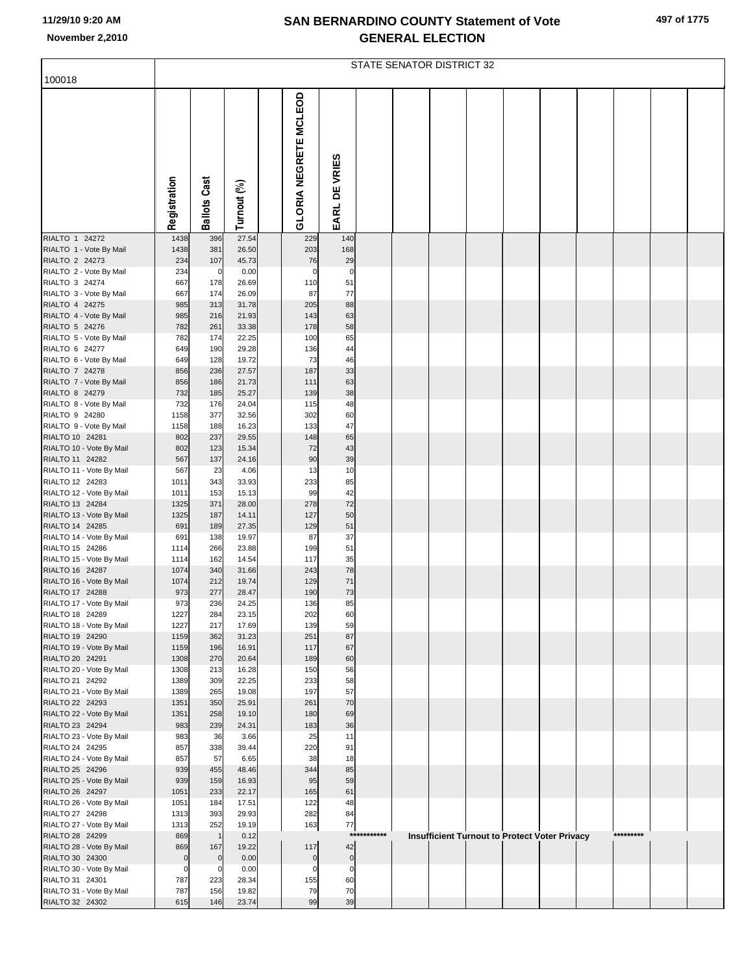|                                             | STATE SENATOR DISTRICT 32 |                     |                |  |                       |                      |         |  |  |  |                                                      |  |  |           |  |  |
|---------------------------------------------|---------------------------|---------------------|----------------|--|-----------------------|----------------------|---------|--|--|--|------------------------------------------------------|--|--|-----------|--|--|
| 100018                                      |                           |                     |                |  |                       |                      |         |  |  |  |                                                      |  |  |           |  |  |
|                                             | Registration              | <b>Ballots Cast</b> | Turnout (%)    |  | GLORIA NEGRETE MCLEOD | DE VRIES<br>EARL I   |         |  |  |  |                                                      |  |  |           |  |  |
| RIALTO 1 24272                              | 1438                      | 396                 | 27.54          |  | 229                   | 140                  |         |  |  |  |                                                      |  |  |           |  |  |
| RIALTO 1 - Vote By Mail                     | 1438                      | 381                 | 26.50          |  | 203                   | 168                  |         |  |  |  |                                                      |  |  |           |  |  |
| RIALTO 2 24273                              | 234                       | 107                 | 45.73          |  | 76                    | 29                   |         |  |  |  |                                                      |  |  |           |  |  |
| RIALTO 2 - Vote By Mail<br>RIALTO 3 24274   | 234<br>667                | 0<br>178            | 0.00<br>26.69  |  | $\mathbf 0$<br>110    | $\overline{0}$<br>51 |         |  |  |  |                                                      |  |  |           |  |  |
| RIALTO 3 - Vote By Mail                     | 667                       | 174                 | 26.09          |  | 87                    | 77                   |         |  |  |  |                                                      |  |  |           |  |  |
| RIALTO 4 24275                              | 985                       | 313                 | 31.78          |  | 205                   | 88                   |         |  |  |  |                                                      |  |  |           |  |  |
| RIALTO 4 - Vote By Mail                     | 985                       | 216                 | 21.93          |  | 143                   | 63                   |         |  |  |  |                                                      |  |  |           |  |  |
| RIALTO 5 24276                              | 782                       | 261                 | 33.38          |  | 178                   | 58                   |         |  |  |  |                                                      |  |  |           |  |  |
| RIALTO 5 - Vote By Mail                     | 782                       | 174                 | 22.25          |  | 100                   | 65                   |         |  |  |  |                                                      |  |  |           |  |  |
| RIALTO 6 24277<br>RIALTO 6 - Vote By Mail   | 649<br>649                | 190<br>128          | 29.28<br>19.72 |  | 136<br>73             | 44<br>46             |         |  |  |  |                                                      |  |  |           |  |  |
| RIALTO 7 24278                              | 856                       | 236                 | 27.57          |  | 187                   | 33                   |         |  |  |  |                                                      |  |  |           |  |  |
| RIALTO 7 - Vote By Mail                     | 856                       | 186                 | 21.73          |  | 111                   | 63                   |         |  |  |  |                                                      |  |  |           |  |  |
| RIALTO 8 24279                              | 732                       | 185                 | 25.27          |  | 139                   | 38                   |         |  |  |  |                                                      |  |  |           |  |  |
| RIALTO 8 - Vote By Mail                     | 732                       | 176                 | 24.04          |  | 115                   | 48                   |         |  |  |  |                                                      |  |  |           |  |  |
| RIALTO 9 24280                              | 1158                      | 377                 | 32.56          |  | 302                   | 60                   |         |  |  |  |                                                      |  |  |           |  |  |
| RIALTO 9 - Vote By Mail                     | 1158                      | 188                 | 16.23          |  | 133                   | 47                   |         |  |  |  |                                                      |  |  |           |  |  |
| RIALTO 10 24281<br>RIALTO 10 - Vote By Mail | 802<br>802                | 237<br>123          | 29.55<br>15.34 |  | 148<br>72             | 65<br>43             |         |  |  |  |                                                      |  |  |           |  |  |
| RIALTO 11 24282                             | 567                       | 137                 | 24.16          |  | 90                    | 39                   |         |  |  |  |                                                      |  |  |           |  |  |
| RIALTO 11 - Vote By Mail                    | 567                       | 23                  | 4.06           |  | 13                    | 10                   |         |  |  |  |                                                      |  |  |           |  |  |
| RIALTO 12 24283                             | 1011                      | 343                 | 33.93          |  | 233                   | 85                   |         |  |  |  |                                                      |  |  |           |  |  |
| RIALTO 12 - Vote By Mail                    | 1011                      | 153                 | 15.13          |  | 99                    | 42                   |         |  |  |  |                                                      |  |  |           |  |  |
| RIALTO 13 24284                             | 1325                      | 371                 | 28.00          |  | 278                   | 72                   |         |  |  |  |                                                      |  |  |           |  |  |
| RIALTO 13 - Vote By Mail                    | 1325                      | 187                 | 14.11          |  | 127                   | 50                   |         |  |  |  |                                                      |  |  |           |  |  |
| RIALTO 14 24285<br>RIALTO 14 - Vote By Mail | 691<br>691                | 189<br>138          | 27.35<br>19.97 |  | 129<br>87             | 51<br>37             |         |  |  |  |                                                      |  |  |           |  |  |
| RIALTO 15 24286                             | 1114                      | 266                 | 23.88          |  | 199                   | 51                   |         |  |  |  |                                                      |  |  |           |  |  |
| RIALTO 15 - Vote By Mail                    | 1114                      | 162                 | 14.54          |  | 117                   | 35                   |         |  |  |  |                                                      |  |  |           |  |  |
| RIALTO 16 24287                             | 1074                      | 340                 | 31.66          |  | 243                   | 78                   |         |  |  |  |                                                      |  |  |           |  |  |
| RIALTO 16 - Vote By Mail                    | 1074                      | 212                 | 19.74          |  | 129                   | 71                   |         |  |  |  |                                                      |  |  |           |  |  |
| RIALTO 17 24288                             | 973                       | 277                 | 28.47          |  | 190                   | 73                   |         |  |  |  |                                                      |  |  |           |  |  |
| RIALTO 17 - Vote By Mail<br>RIALTO 18 24289 | 973<br>1227               | 236<br>284          | 24.25<br>23.15 |  | 136<br>202            | 85<br>60             |         |  |  |  |                                                      |  |  |           |  |  |
| RIALTO 18 - Vote By Mail                    | 1227                      | 217                 | 17.69          |  | 139                   | 59                   |         |  |  |  |                                                      |  |  |           |  |  |
| RIALTO 19 24290                             | 1159                      | 362                 | 31.23          |  | 251                   | 87                   |         |  |  |  |                                                      |  |  |           |  |  |
| RIALTO 19 - Vote By Mail                    | 1159                      | 196                 | 16.91          |  | 117                   | 67                   |         |  |  |  |                                                      |  |  |           |  |  |
| RIALTO 20 24291                             | 1308                      | 270                 | 20.64          |  | 189                   | 60                   |         |  |  |  |                                                      |  |  |           |  |  |
| RIALTO 20 - Vote By Mail                    | 1308                      | 213                 | 16.28          |  | 150                   | 56                   |         |  |  |  |                                                      |  |  |           |  |  |
| RIALTO 21 24292<br>RIALTO 21 - Vote By Mail | 1389<br>1389              | 309<br>265          | 22.25<br>19.08 |  | 233<br>197            | 58<br>57             |         |  |  |  |                                                      |  |  |           |  |  |
| RIALTO 22 24293                             | 1351                      | 350                 | 25.91          |  | 261                   | 70                   |         |  |  |  |                                                      |  |  |           |  |  |
| RIALTO 22 - Vote By Mail                    | 1351                      | 258                 | 19.10          |  | 180                   | 69                   |         |  |  |  |                                                      |  |  |           |  |  |
| RIALTO 23 24294                             | 983                       | 239                 | 24.31          |  | 183                   | 36                   |         |  |  |  |                                                      |  |  |           |  |  |
| RIALTO 23 - Vote By Mail                    | 983                       | 36                  | 3.66           |  | 25                    | 11                   |         |  |  |  |                                                      |  |  |           |  |  |
| RIALTO 24 24295                             | 857<br>857                | 338<br>57           | 39.44<br>6.65  |  | 220<br>38             | 91<br>18             |         |  |  |  |                                                      |  |  |           |  |  |
| RIALTO 24 - Vote By Mail<br>RIALTO 25 24296 | 939                       | 455                 | 48.46          |  | 344                   | 85                   |         |  |  |  |                                                      |  |  |           |  |  |
| RIALTO 25 - Vote By Mail                    | 939                       | 159                 | 16.93          |  | 95                    | 59                   |         |  |  |  |                                                      |  |  |           |  |  |
| RIALTO 26 24297                             | 1051                      | 233                 | 22.17          |  | 165                   | 61                   |         |  |  |  |                                                      |  |  |           |  |  |
| RIALTO 26 - Vote By Mail                    | 1051                      | 184                 | 17.51          |  | 122                   | 48                   |         |  |  |  |                                                      |  |  |           |  |  |
| RIALTO 27 24298                             | 1313                      | 393                 | 29.93          |  | 282                   | 84                   |         |  |  |  |                                                      |  |  |           |  |  |
| RIALTO 27 - Vote By Mail                    | 1313                      | 252<br>$\mathbf{1}$ | 19.19<br>0.12  |  | 163                   | 77<br>$***$          | ******* |  |  |  |                                                      |  |  | ********* |  |  |
| RIALTO 28 24299<br>RIALTO 28 - Vote By Mail | 869<br>869                | 167                 | 19.22          |  | 117                   | 42                   |         |  |  |  | <b>Insufficient Turnout to Protect Voter Privacy</b> |  |  |           |  |  |
| RIALTO 30 24300                             | $\overline{0}$            | $\mathbf 0$         | 0.00           |  | $\mathbf 0$           | $\overline{0}$       |         |  |  |  |                                                      |  |  |           |  |  |
| RIALTO 30 - Vote By Mail                    | 0                         | 0                   | 0.00           |  | C                     | $\mathbf 0$          |         |  |  |  |                                                      |  |  |           |  |  |
| RIALTO 31 24301                             | 787                       | 223                 | 28.34          |  | 155                   | 60                   |         |  |  |  |                                                      |  |  |           |  |  |
| RIALTO 31 - Vote By Mail                    | 787                       | 156                 | 19.82          |  | 79                    | 70                   |         |  |  |  |                                                      |  |  |           |  |  |
| RIALTO 32 24302                             | 615                       | 146                 | 23.74          |  | 99                    | 39                   |         |  |  |  |                                                      |  |  |           |  |  |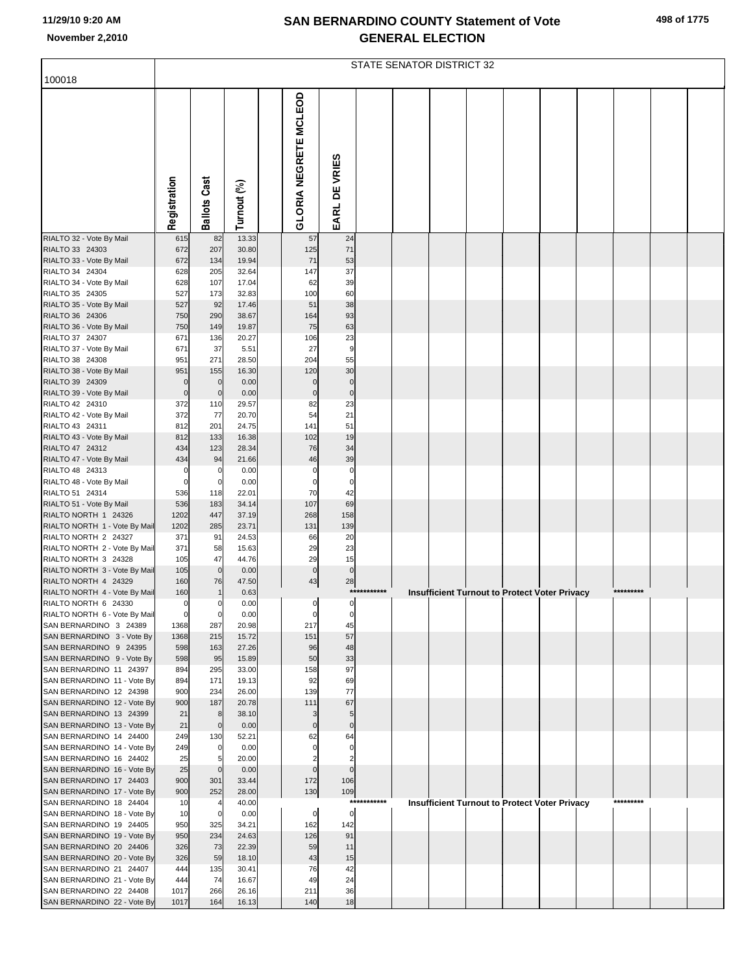|  |  | 498 of 1775 |
|--|--|-------------|
|--|--|-------------|

|                                                        |                    |                        |                |                              |                       |             | STATE SENATOR DISTRICT 32 |  |                                                      |           |  |
|--------------------------------------------------------|--------------------|------------------------|----------------|------------------------------|-----------------------|-------------|---------------------------|--|------------------------------------------------------|-----------|--|
| 100018                                                 |                    |                        |                |                              |                       |             |                           |  |                                                      |           |  |
|                                                        | Registration       | Cast<br><b>Ballots</b> | Turnout (%)    | <b>GLORIA NEGRETE MCLEOD</b> | EARL DE VRIES         |             |                           |  |                                                      |           |  |
| RIALTO 32 - Vote By Mail                               | 615                | 82                     | 13.33          | 57                           | 24                    |             |                           |  |                                                      |           |  |
| RIALTO 33 24303<br>RIALTO 33 - Vote By Mail            | 672<br>672         | 207<br>134             | 30.80<br>19.94 | 125<br>71                    | 71<br>53              |             |                           |  |                                                      |           |  |
| RIALTO 34 24304                                        | 628                | 205                    | 32.64          | 147                          | 37                    |             |                           |  |                                                      |           |  |
| RIALTO 34 - Vote By Mail                               | 628                | 107                    | 17.04          | 62                           | 39                    |             |                           |  |                                                      |           |  |
| RIALTO 35 24305                                        | 527                | 173                    | 32.83          | 100                          | 60                    |             |                           |  |                                                      |           |  |
| RIALTO 35 - Vote By Mail<br>RIALTO 36 24306            | 527<br>750         | 92<br>290              | 17.46<br>38.67 | 51<br>164                    | 38<br>93              |             |                           |  |                                                      |           |  |
| RIALTO 36 - Vote By Mail                               | 750                | 149                    | 19.87          | 75                           | 63                    |             |                           |  |                                                      |           |  |
| RIALTO 37 24307                                        | 671                | 136                    | 20.27          | 106                          | 23                    |             |                           |  |                                                      |           |  |
| RIALTO 37 - Vote By Mail                               | 671                | 37                     | 5.51           | 27                           | 9                     |             |                           |  |                                                      |           |  |
| RIALTO 38 24308                                        | 951                | 271                    | 28.50          | 204                          | 55                    |             |                           |  |                                                      |           |  |
| RIALTO 38 - Vote By Mail<br>RIALTO 39 24309            | 951<br>$\Omega$    | 155<br>$\mathbf 0$     | 16.30<br>0.00  | 120<br>$\mathbf 0$           | 30<br>$\pmb{0}$       |             |                           |  |                                                      |           |  |
| RIALTO 39 - Vote By Mail                               | $\bf 0$            | $\mathbf 0$            | 0.00           | $\pmb{0}$                    | $\mathbf 0$           |             |                           |  |                                                      |           |  |
| RIALTO 42 24310                                        | 372                | 110                    | 29.57          | 82                           | 23                    |             |                           |  |                                                      |           |  |
| RIALTO 42 - Vote By Mail                               | 372                | 77                     | 20.70          | 54                           | 21                    |             |                           |  |                                                      |           |  |
| RIALTO 43 24311<br>RIALTO 43 - Vote By Mail            | 812<br>812         | 201<br>133             | 24.75<br>16.38 | 141<br>102                   | 51<br>19              |             |                           |  |                                                      |           |  |
| RIALTO 47 24312                                        | 434                | 123                    | 28.34          | 76                           | 34                    |             |                           |  |                                                      |           |  |
| RIALTO 47 - Vote By Mail                               | 434                | 94                     | 21.66          | 46                           | 39                    |             |                           |  |                                                      |           |  |
| RIALTO 48 24313                                        | $\mathbf 0$        | 0                      | 0.00           | $\mathbf 0$                  | $\pmb{0}$             |             |                           |  |                                                      |           |  |
| RIALTO 48 - Vote By Mail<br>RIALTO 51 24314            | $\mathbf 0$<br>536 | $\mathbf 0$<br>118     | 0.00<br>22.01  | $\mathbf 0$<br>70            | $\pmb{0}$<br>42       |             |                           |  |                                                      |           |  |
| RIALTO 51 - Vote By Mail                               | 536                | 183                    | 34.14          | 107                          | 69                    |             |                           |  |                                                      |           |  |
| RIALTO NORTH 1 24326                                   | 1202               | 447                    | 37.19          | 268                          | 158                   |             |                           |  |                                                      |           |  |
| RIALTO NORTH 1 - Vote By Mail                          | 1202               | 285                    | 23.71          | 131                          | 139                   |             |                           |  |                                                      |           |  |
| RIALTO NORTH 2 24327<br>RIALTO NORTH 2 - Vote By Mail  | 371<br>371         | 91<br>58               | 24.53<br>15.63 | 66<br>29                     | 20<br>23              |             |                           |  |                                                      |           |  |
| RIALTO NORTH 3 24328                                   | 105                | 47                     | 44.76          | 29                           | 15                    |             |                           |  |                                                      |           |  |
| RIALTO NORTH 3 - Vote By Mail                          | 105                | $\mathbf 0$            | 0.00           | $\pmb{0}$                    | $\overline{0}$        |             |                           |  |                                                      |           |  |
| RIALTO NORTH 4 24329                                   | 160                | 76                     | 47.50          | 43                           | 28                    | *********** |                           |  |                                                      | ********* |  |
| RIALTO NORTH 4 - Vote By Mail<br>RIALTO NORTH 6 24330  | 160<br>$\Omega$    | -1                     | 0.63<br>0.00   | $\Omega$                     | $\Omega$              |             |                           |  | <b>Insufficient Turnout to Protect Voter Privacy</b> |           |  |
| RIALTO NORTH 6 - Vote By Mail                          | $\mathbf 0$        | $\mathbf 0$            | 0.00           | 0                            | 0                     |             |                           |  |                                                      |           |  |
| SAN BERNARDINO 3 24389                                 | 1368               | 287                    | 20.98          | 217                          | 45                    |             |                           |  |                                                      |           |  |
| SAN BERNARDINO 3 - Vote By                             | 1368               | 215                    | 15.72          | 151                          | 57                    |             |                           |  |                                                      |           |  |
| SAN BERNARDINO 9 24395<br>SAN BERNARDINO 9 - Vote By   | 598<br>598         | 163<br>95              | 27.26<br>15.89 | 96<br>50                     | 48<br>33              |             |                           |  |                                                      |           |  |
| SAN BERNARDINO 11 24397                                | 894                | 295                    | 33.00          | 158                          | 97                    |             |                           |  |                                                      |           |  |
| SAN BERNARDINO 11 - Vote By                            | 894                | 171                    | 19.13          | 92                           | 69                    |             |                           |  |                                                      |           |  |
| SAN BERNARDINO 12 24398                                | 900                | 234                    | 26.00          | 139                          | 77                    |             |                           |  |                                                      |           |  |
| SAN BERNARDINO 12 - Vote By<br>SAN BERNARDINO 13 24399 | 900<br>21          | 187<br>8               | 20.78<br>38.10 | 111<br>3                     | 67<br>5               |             |                           |  |                                                      |           |  |
| SAN BERNARDINO 13 - Vote By                            | 21                 | $\mathbf 0$            | 0.00           | $\bf{0}$                     | $\pmb{0}$             |             |                           |  |                                                      |           |  |
| SAN BERNARDINO 14 24400                                | 249                | 130                    | 52.21          | 62                           | 64                    |             |                           |  |                                                      |           |  |
| SAN BERNARDINO 14 - Vote By                            | 249                | $\overline{0}$         | 0.00<br>20.00  | $\Omega$                     | 0                     |             |                           |  |                                                      |           |  |
| SAN BERNARDINO 16 24402<br>SAN BERNARDINO 16 - Vote By | 25<br>25           | $\mathbf 0$            | 0.00           | $\mathbf 0$                  | 2<br>$\pmb{0}$        |             |                           |  |                                                      |           |  |
| SAN BERNARDINO 17 24403                                | 900                | 301                    | 33.44          | 172                          | 106                   |             |                           |  |                                                      |           |  |
| SAN BERNARDINO 17 - Vote By                            | 900                | 252                    | 28.00          | 130                          | 109                   |             |                           |  |                                                      |           |  |
| SAN BERNARDINO 18 24404                                | 10                 |                        | 40.00          |                              | $***$                 | *******     |                           |  | <b>Insufficient Turnout to Protect Voter Privacy</b> | ********* |  |
| SAN BERNARDINO 18 - Vote By<br>SAN BERNARDINO 19 24405 | 10<br>950          | 0<br>325               | 0.00<br>34.21  | $\overline{0}$<br>162        | $\overline{0}$<br>142 |             |                           |  |                                                      |           |  |
| SAN BERNARDINO 19 - Vote By                            | 950                | 234                    | 24.63          | 126                          | 91                    |             |                           |  |                                                      |           |  |
| SAN BERNARDINO 20 24406                                | 326                | 73                     | 22.39          | 59                           | 11                    |             |                           |  |                                                      |           |  |
| SAN BERNARDINO 20 - Vote By                            | 326                | 59                     | 18.10          | 43                           | 15                    |             |                           |  |                                                      |           |  |
| SAN BERNARDINO 21 24407<br>SAN BERNARDINO 21 - Vote By | 444<br>444         | 135<br>74              | 30.41<br>16.67 | 76<br>49                     | 42<br>24              |             |                           |  |                                                      |           |  |
| SAN BERNARDINO 22 24408                                | 1017               | 266                    | 26.16          | 211                          | 36                    |             |                           |  |                                                      |           |  |
| SAN BERNARDINO 22 - Vote By                            | 1017               | 164                    | 16.13          | 140                          | 18                    |             |                           |  |                                                      |           |  |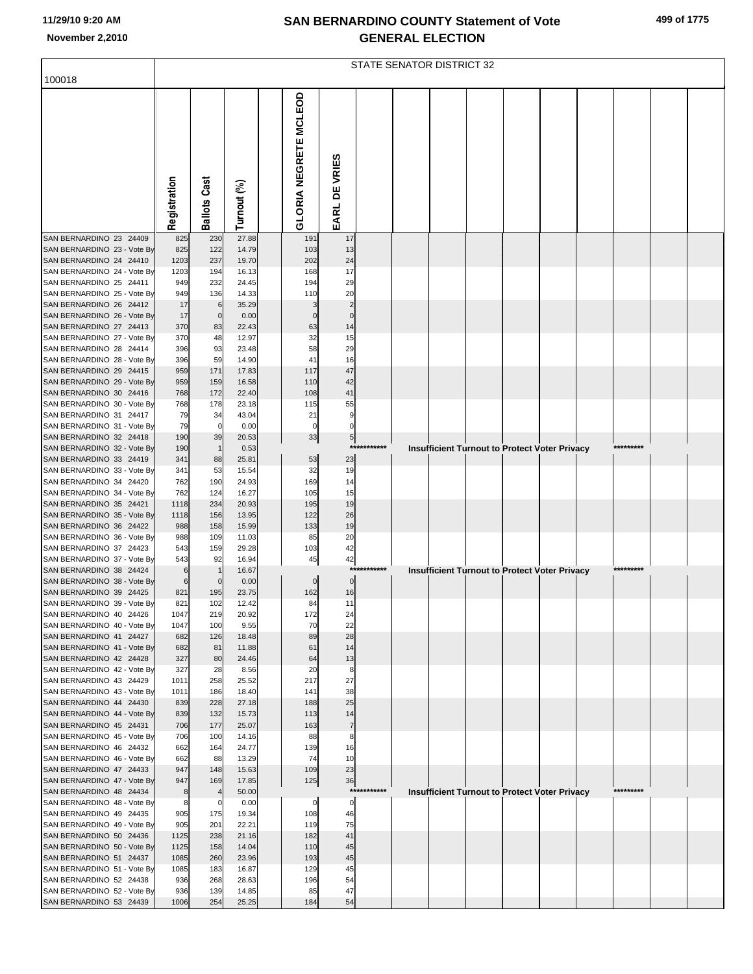|  |  | 499 of 1775 |
|--|--|-------------|
|--|--|-------------|

|                                                        |              |                   |                |                              |                    |             | STATE SENATOR DISTRICT 32 |  |                                                      |           |  |
|--------------------------------------------------------|--------------|-------------------|----------------|------------------------------|--------------------|-------------|---------------------------|--|------------------------------------------------------|-----------|--|
| 100018                                                 |              |                   |                |                              |                    |             |                           |  |                                                      |           |  |
|                                                        |              |                   |                |                              |                    |             |                           |  |                                                      |           |  |
|                                                        |              |                   |                | <b>GLORIA NEGRETE MCLEOD</b> |                    |             |                           |  |                                                      |           |  |
|                                                        |              |                   |                |                              |                    |             |                           |  |                                                      |           |  |
|                                                        |              |                   |                |                              |                    |             |                           |  |                                                      |           |  |
|                                                        |              |                   |                |                              |                    |             |                           |  |                                                      |           |  |
|                                                        |              |                   |                |                              |                    |             |                           |  |                                                      |           |  |
|                                                        |              | Cast              |                |                              |                    |             |                           |  |                                                      |           |  |
|                                                        |              |                   |                |                              |                    |             |                           |  |                                                      |           |  |
|                                                        | Registration | <b>Ballots</b>    | Turnout (%)    |                              | EARL DE VRIES      |             |                           |  |                                                      |           |  |
| SAN BERNARDINO 23 24409                                | 825          | 230               | 27.88          | 191                          | 17                 |             |                           |  |                                                      |           |  |
| SAN BERNARDINO 23 - Vote By                            | 825          | 122               | 14.79          | 103                          | 13                 |             |                           |  |                                                      |           |  |
| SAN BERNARDINO 24 24410<br>SAN BERNARDINO 24 - Vote By | 1203<br>1203 | 237<br>194        | 19.70<br>16.13 | 202<br>168                   | 24<br>17           |             |                           |  |                                                      |           |  |
| SAN BERNARDINO 25 24411                                | 949          | 232               | 24.45          | 194                          | 29                 |             |                           |  |                                                      |           |  |
| SAN BERNARDINO 25 - Vote By<br>SAN BERNARDINO 26 24412 | 949<br>17    | 136<br>6          | 14.33<br>35.29 | 110<br>3                     | 20<br>2            |             |                           |  |                                                      |           |  |
| SAN BERNARDINO 26 - Vote By                            | 17           | $\mathbf 0$       | 0.00           | $\Omega$                     | $\mathbf 0$        |             |                           |  |                                                      |           |  |
| SAN BERNARDINO 27 24413                                | 370          | 83                | 22.43          | 63                           | 14                 |             |                           |  |                                                      |           |  |
| SAN BERNARDINO 27 - Vote By<br>SAN BERNARDINO 28 24414 | 370<br>396   | 48<br>93          | 12.97<br>23.48 | 32<br>58                     | 15<br>29           |             |                           |  |                                                      |           |  |
| SAN BERNARDINO 28 - Vote By                            | 396          | 59                | 14.90          | 41                           | 16                 |             |                           |  |                                                      |           |  |
| SAN BERNARDINO 29 24415<br>SAN BERNARDINO 29 - Vote By | 959<br>959   | 171<br>159        | 17.83<br>16.58 | 117<br>110                   | 47<br>42           |             |                           |  |                                                      |           |  |
| SAN BERNARDINO 30 24416                                | 768          | 172               | 22.40          | 108                          | 41                 |             |                           |  |                                                      |           |  |
| SAN BERNARDINO 30 - Vote By                            | 768          | 178               | 23.18          | 115                          | 55                 |             |                           |  |                                                      |           |  |
| SAN BERNARDINO 31 24417<br>SAN BERNARDINO 31 - Vote By | 79<br>79     | 34<br>$\mathbf 0$ | 43.04<br>0.00  | 21<br>0                      | 9<br>0             |             |                           |  |                                                      |           |  |
| SAN BERNARDINO 32 24418                                | 190          | 39                | 20.53          | 33                           | 5                  |             |                           |  |                                                      |           |  |
| SAN BERNARDINO 32 - Vote By                            | 190          |                   | 0.53           |                              | ***                |             |                           |  | <b>Insufficient Turnout to Protect Voter Privacy</b> |           |  |
| SAN BERNARDINO 33 24419<br>SAN BERNARDINO 33 - Vote By | 341<br>341   | 88<br>53          | 25.81<br>15.54 | 53<br>32                     | 23<br>19           |             |                           |  |                                                      |           |  |
| SAN BERNARDINO 34 24420                                | 762          | 190               | 24.93          | 169                          | 14                 |             |                           |  |                                                      |           |  |
| SAN BERNARDINO 34 - Vote By<br>SAN BERNARDINO 35 24421 | 762<br>1118  | 124<br>234        | 16.27<br>20.93 | 105<br>195                   | 15<br>19           |             |                           |  |                                                      |           |  |
| SAN BERNARDINO 35 - Vote By                            | 1118         | 156               | 13.95          | 122                          | 26                 |             |                           |  |                                                      |           |  |
| SAN BERNARDINO 36 24422                                | 988          | 158               | 15.99          | 133                          | 19                 |             |                           |  |                                                      |           |  |
| SAN BERNARDINO 36 - Vote By<br>SAN BERNARDINO 37 24423 | 988<br>543   | 109<br>159        | 11.03<br>29.28 | 85<br>103                    | 20<br>42           |             |                           |  |                                                      |           |  |
| SAN BERNARDINO 37 - Vote By                            | 543          | 92                | 16.94          | 45                           | 42                 |             |                           |  |                                                      |           |  |
| SAN BERNARDINO 38 24424<br>SAN BERNARDINO 38 - Vote By | 6            | $\Omega$          | 16.67<br>0.00  | 0                            | ***<br>$\mathbf 0$ | ******      |                           |  | <b>Insufficient Turnout to Protect Voter Privacy</b> |           |  |
| SAN BERNARDINO 39 24425                                | 821          | 195               | 23.75          | 162                          | 16                 |             |                           |  |                                                      |           |  |
| SAN BERNARDINO 39 - Vote By                            | 821          | 102               | 12.42          | $\mathsf{R}$                 | 11                 |             |                           |  |                                                      |           |  |
| SAN BERNARDINO 40 24426<br>SAN BERNARDINO 40 - Vote By | 1047<br>1047 | 219<br>100        | 20.92<br>9.55  | 172<br>70                    | 24<br>22           |             |                           |  |                                                      |           |  |
| SAN BERNARDINO 41 24427                                | 682          | 126               | 18.48          | 89                           | 28                 |             |                           |  |                                                      |           |  |
| SAN BERNARDINO 41 - Vote By                            | 682<br>327   | 81<br>80          | 11.88<br>24.46 | 61                           | 14                 |             |                           |  |                                                      |           |  |
| SAN BERNARDINO 42 24428<br>SAN BERNARDINO 42 - Vote By | 327          | 28                | 8.56           | 64<br>20                     | 13<br>8            |             |                           |  |                                                      |           |  |
| SAN BERNARDINO 43 24429                                | 1011         | 258               | 25.52          | 217                          | 27                 |             |                           |  |                                                      |           |  |
| SAN BERNARDINO 43 - Vote By<br>SAN BERNARDINO 44 24430 | 1011<br>839  | 186<br>228        | 18.40<br>27.18 | 141<br>188                   | 38<br>25           |             |                           |  |                                                      |           |  |
| SAN BERNARDINO 44 - Vote By                            | 839          | 132               | 15.73          | 113                          | 14                 |             |                           |  |                                                      |           |  |
| SAN BERNARDINO 45 24431                                | 706          | 177               | 25.07          | 163                          | $\overline{7}$     |             |                           |  |                                                      |           |  |
| SAN BERNARDINO 45 - Vote By<br>SAN BERNARDINO 46 24432 | 706<br>662   | 100<br>164        | 14.16<br>24.77 | 88<br>139                    | 8<br>16            |             |                           |  |                                                      |           |  |
| SAN BERNARDINO 46 - Vote By                            | 662          | 88                | 13.29          | 74                           | 10                 |             |                           |  |                                                      |           |  |
| SAN BERNARDINO 47 24433<br>SAN BERNARDINO 47 - Vote By | 947<br>947   | 148<br>169        | 15.63<br>17.85 | 109<br>125                   | 23<br>36           |             |                           |  |                                                      |           |  |
| SAN BERNARDINO 48 24434                                | 8            |                   | 50.00          |                              |                    | *********** |                           |  | <b>Insufficient Turnout to Protect Voter Privacy</b> | ********* |  |
| SAN BERNARDINO 48 - Vote By                            | 8            | 0                 | 0.00           | 0                            | 0                  |             |                           |  |                                                      |           |  |
| SAN BERNARDINO 49 24435<br>SAN BERNARDINO 49 - Vote By | 905<br>905   | 175<br>201        | 19.34<br>22.21 | 108<br>119                   | 46<br>75           |             |                           |  |                                                      |           |  |
| SAN BERNARDINO 50 24436                                | 1125         | 238               | 21.16          | 182                          | 41                 |             |                           |  |                                                      |           |  |
| SAN BERNARDINO 50 - Vote By<br>SAN BERNARDINO 51 24437 | 1125<br>1085 | 158<br>260        | 14.04<br>23.96 | 110<br>193                   | 45<br>45           |             |                           |  |                                                      |           |  |
| SAN BERNARDINO 51 - Vote By                            | 1085         | 183               | 16.87          | 129                          | 45                 |             |                           |  |                                                      |           |  |
| SAN BERNARDINO 52 24438                                | 936          | 268               | 28.63          | 196                          | 54                 |             |                           |  |                                                      |           |  |
| SAN BERNARDINO 52 - Vote By<br>SAN BERNARDINO 53 24439 | 936<br>1006  | 139<br>254        | 14.85<br>25.25 | 85<br>184                    | 47<br>54           |             |                           |  |                                                      |           |  |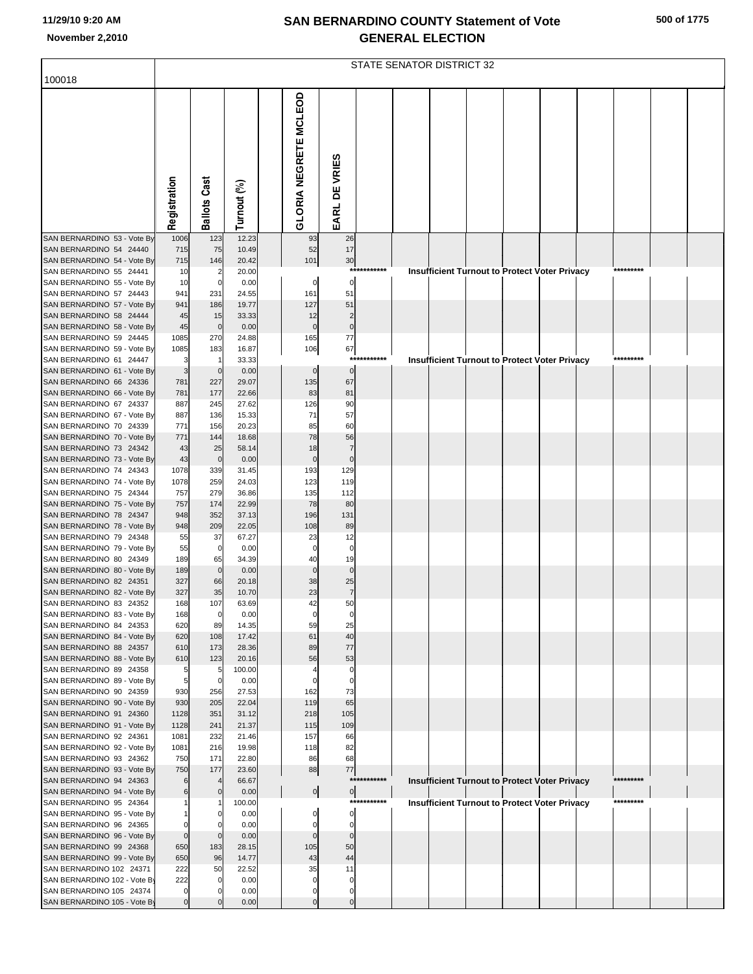|  |  | 500 of 1775 |
|--|--|-------------|
|--|--|-------------|

|                                                         |                |                       |                |                              |                         |             | STATE SENATOR DISTRICT 32 |  |                                                      |           |  |
|---------------------------------------------------------|----------------|-----------------------|----------------|------------------------------|-------------------------|-------------|---------------------------|--|------------------------------------------------------|-----------|--|
| 100018                                                  |                |                       |                |                              |                         |             |                           |  |                                                      |           |  |
|                                                         | Registration   | <b>Ballots Cast</b>   | Turnout (%)    | <b>GLORIA NEGRETE MCLEOD</b> | EARL DE VRIES           |             |                           |  |                                                      |           |  |
| SAN BERNARDINO 53 - Vote By                             | 1006           | 123                   | 12.23          | 93                           | 26                      |             |                           |  |                                                      |           |  |
| SAN BERNARDINO 54 24440<br>SAN BERNARDINO 54 - Vote By  | 715<br>715     | 75<br>146             | 10.49<br>20.42 | 52<br>101                    | 17<br>30                |             |                           |  |                                                      |           |  |
| SAN BERNARDINO 55 24441                                 | 10             |                       | 20.00          |                              |                         | *********** |                           |  | Insufficient Turnout to Protect Voter Privacy        | ********* |  |
| SAN BERNARDINO 55 - Vote By                             | 10             | $\Omega$              | 0.00           | 0                            | $\mathbf 0$             |             |                           |  |                                                      |           |  |
| SAN BERNARDINO 57 24443<br>SAN BERNARDINO 57 - Vote By  | 941<br>941     | 231<br>186            | 24.55<br>19.77 | 161<br>127                   | 51<br>51                |             |                           |  |                                                      |           |  |
| SAN BERNARDINO 58 24444                                 | 45             | 15                    | 33.33          | 12                           | $\overline{\mathbf{c}}$ |             |                           |  |                                                      |           |  |
| SAN BERNARDINO 58 - Vote By<br>SAN BERNARDINO 59 24445  | 45<br>1085     | $\overline{0}$<br>270 | 0.00<br>24.88  | $\mathbf 0$<br>165           | $\pmb{0}$<br>$77$       |             |                           |  |                                                      |           |  |
| SAN BERNARDINO 59 - Vote By                             | 1085           | 183                   | 16.87          | 106                          | 67                      |             |                           |  |                                                      |           |  |
| SAN BERNARDINO 61 24447                                 | 3              |                       | 33.33          |                              | ***                     | *******     |                           |  | Insufficient Turnout to Protect Voter Privacy        |           |  |
| SAN BERNARDINO 61 - Vote By<br>SAN BERNARDINO 66 24336  | 3<br>781       | $\mathbf{0}$<br>227   | 0.00<br>29.07  | $\mathbf 0$<br>135           | $\mathbf 0$<br>67       |             |                           |  |                                                      |           |  |
| SAN BERNARDINO 66 - Vote By                             | 781            | 177                   | 22.66          | 83                           | 81                      |             |                           |  |                                                      |           |  |
| SAN BERNARDINO 67 24337                                 | 887            | 245                   | 27.62          | 126                          | 90                      |             |                           |  |                                                      |           |  |
| SAN BERNARDINO 67 - Vote By<br>SAN BERNARDINO 70 24339  | 887<br>771     | 136<br>156            | 15.33<br>20.23 | 71<br>85                     | 57<br>60                |             |                           |  |                                                      |           |  |
| SAN BERNARDINO 70 - Vote By                             | 771            | 144                   | 18.68          | 78                           | 56                      |             |                           |  |                                                      |           |  |
| SAN BERNARDINO 73 24342                                 | 43             | 25                    | 58.14          | 18                           | $\overline{7}$          |             |                           |  |                                                      |           |  |
| SAN BERNARDINO 73 - Vote By<br>SAN BERNARDINO 74 24343  | 43<br>1078     | $\overline{0}$<br>339 | 0.00           | $\mathbf 0$<br>193           | $\mathbf 0$<br>129      |             |                           |  |                                                      |           |  |
| SAN BERNARDINO 74 - Vote By                             | 1078           | 259                   | 31.45<br>24.03 | 123                          | 119                     |             |                           |  |                                                      |           |  |
| SAN BERNARDINO 75 24344                                 | 757            | 279                   | 36.86          | 135                          | 112                     |             |                           |  |                                                      |           |  |
| SAN BERNARDINO 75 - Vote By<br>SAN BERNARDINO 78 24347  | 757            | 174<br>352            | 22.99<br>37.13 | 78<br>196                    | 80<br>131               |             |                           |  |                                                      |           |  |
| SAN BERNARDINO 78 - Vote By                             | 948<br>948     | 209                   | 22.05          | 108                          | 89                      |             |                           |  |                                                      |           |  |
| SAN BERNARDINO 79 24348                                 | 55             | 37                    | 67.27          | 23                           | 12                      |             |                           |  |                                                      |           |  |
| SAN BERNARDINO 79 - Vote By<br>SAN BERNARDINO 80 24349  | 55<br>189      | $\Omega$              | 0.00<br>34.39  | $\mathbf 0$<br>40            | $\mathbf 0$<br>19       |             |                           |  |                                                      |           |  |
| SAN BERNARDINO 80 - Vote By                             | 189            | 65<br>$\overline{0}$  | 0.00           | $\mathbf 0$                  | $\mathbf{0}$            |             |                           |  |                                                      |           |  |
| SAN BERNARDINO 82 24351                                 | 327            | 66                    | 20.18          | 38                           | 25                      |             |                           |  |                                                      |           |  |
| SAN BERNARDINO 82 - Vote By<br>SAN BERNARDINO 83 24352  | 327            | 35                    | 10.70          | 23                           | $\overline{7}$          |             |                           |  |                                                      |           |  |
| SAN BERNARDINO 83 - Vote By                             | 168<br>168     | 107<br>$\overline{0}$ | 63.69<br>0.00  | 0                            | $\Omega$                |             |                           |  |                                                      |           |  |
| SAN BERNARDINO 84 24353                                 | 620            | 89                    | 14.35          | 59                           | 25                      |             |                           |  |                                                      |           |  |
| SAN BERNARDINO 84 - Vote By<br>SAN BERNARDINO 88 24357  | 620<br>610     | 108<br>173            | 17.42<br>28.36 | 61<br>89                     | 40<br>77                |             |                           |  |                                                      |           |  |
| SAN BERNARDINO 88 - Vote By                             | 610            | 123                   | 20.16          | 56                           | 53                      |             |                           |  |                                                      |           |  |
| SAN BERNARDINO 89 24358                                 | 5              | 5                     | 100.00         |                              | 0                       |             |                           |  |                                                      |           |  |
| SAN BERNARDINO 89 - Vote By<br>SAN BERNARDINO 90 24359  | 5<br>930       | $\Omega$<br>256       | 0.00<br>27.53  | $\Omega$<br>162              | $\Omega$<br>73          |             |                           |  |                                                      |           |  |
| SAN BERNARDINO 90 - Vote By                             | 930            | 205                   | 22.04          | 119                          | 65                      |             |                           |  |                                                      |           |  |
| SAN BERNARDINO 91 24360                                 | 1128           | 351                   | 31.12          | 218                          | 105                     |             |                           |  |                                                      |           |  |
| SAN BERNARDINO 91 - Vote By<br>SAN BERNARDINO 92 24361  | 1128<br>1081   | 241<br>232            | 21.37<br>21.46 | 115<br>157                   | 109<br>66               |             |                           |  |                                                      |           |  |
| SAN BERNARDINO 92 - Vote By                             | 1081           | 216                   | 19.98          | 118                          | 82                      |             |                           |  |                                                      |           |  |
| SAN BERNARDINO 93 24362                                 | 750            | 171                   | 22.80          | 86                           | 68                      |             |                           |  |                                                      |           |  |
| SAN BERNARDINO 93 - Vote By<br>SAN BERNARDINO 94 24363  | 750            | 177                   | 23.60<br>66.67 | 88                           | $77$                    | *********** |                           |  | Insufficient Turnout to Protect Voter Privacy        | ********* |  |
| SAN BERNARDINO 94 - Vote By                             |                |                       | 0.00           | $\frac{1}{2}$                | $\overline{0}$          |             |                           |  |                                                      |           |  |
| SAN BERNARDINO 95 24364                                 |                |                       | 100.00         |                              |                         | *********** |                           |  | <b>Insufficient Turnout to Protect Voter Privacy</b> | ********* |  |
| SAN BERNARDINO 95 - Vote By<br>SAN BERNARDINO 96 24365  | 0              |                       | 0.00<br>0.00   | 0                            | 0<br>0                  |             |                           |  |                                                      |           |  |
| SAN BERNARDINO 96 - Vote By                             | $\mathbf 0$    |                       | 0.00           | $\mathbf{0}$                 | $\mathbf 0$             |             |                           |  |                                                      |           |  |
| SAN BERNARDINO 99 24368                                 | 650            | 183                   | 28.15          | 105                          | 50                      |             |                           |  |                                                      |           |  |
| SAN BERNARDINO 99 - Vote By<br>SAN BERNARDINO 102 24371 | 650<br>222     | 96<br>50              | 14.77<br>22.52 | 43<br>35                     | 44<br>11                |             |                           |  |                                                      |           |  |
| SAN BERNARDINO 102 - Vote By                            | 222            |                       | 0.00           | $\Omega$                     | O                       |             |                           |  |                                                      |           |  |
| SAN BERNARDINO 105 24374                                | 0              |                       | 0.00           | 0                            |                         |             |                           |  |                                                      |           |  |
| SAN BERNARDINO 105 - Vote By                            | $\overline{0}$ |                       | 0.00           | $\mathbf 0$                  | $\mathbf 0$             |             |                           |  |                                                      |           |  |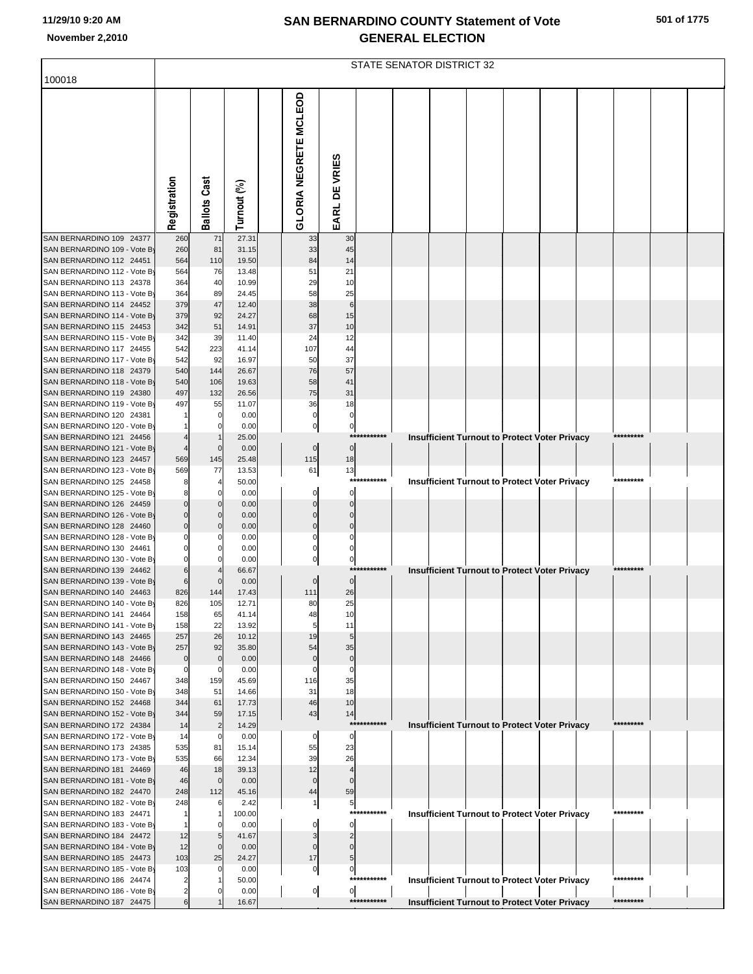#### **SAN BERNARDINO COUNTY Statement of Vote November 2,2010 GENERAL ELECTION**

| 100018                                                   |                 |                     |                |                              |                |             | <b>STATE SENATOR DISTRICT 32</b> |  |                                                      |           |  |
|----------------------------------------------------------|-----------------|---------------------|----------------|------------------------------|----------------|-------------|----------------------------------|--|------------------------------------------------------|-----------|--|
|                                                          |                 |                     |                |                              |                |             |                                  |  |                                                      |           |  |
|                                                          |                 |                     |                | <b>GLORIA NEGRETE MCLEOD</b> |                |             |                                  |  |                                                      |           |  |
|                                                          |                 |                     |                |                              |                |             |                                  |  |                                                      |           |  |
|                                                          |                 |                     |                |                              |                |             |                                  |  |                                                      |           |  |
|                                                          |                 |                     |                |                              | EARL DE VRIES  |             |                                  |  |                                                      |           |  |
|                                                          | Registration    | Cast                | Turnout (%)    |                              |                |             |                                  |  |                                                      |           |  |
|                                                          |                 | Ballots             |                |                              |                |             |                                  |  |                                                      |           |  |
|                                                          |                 |                     |                |                              |                |             |                                  |  |                                                      |           |  |
| SAN BERNARDINO 109 24377                                 | 260             | 71                  | 27.31          | 33                           | 30             |             |                                  |  |                                                      |           |  |
| SAN BERNARDINO 109 - Vote By<br>SAN BERNARDINO 112 24451 | 260<br>564      | 81<br>110           | 31.15<br>19.50 | 33<br>84                     | 45<br>14       |             |                                  |  |                                                      |           |  |
| SAN BERNARDINO 112 - Vote By                             | 564             | 76                  | 13.48          | 51                           | 21             |             |                                  |  |                                                      |           |  |
| SAN BERNARDINO 113 24378                                 | 364             | 40                  | 10.99          | 29                           | 10             |             |                                  |  |                                                      |           |  |
| SAN BERNARDINO 113 - Vote By                             | 364             | 89                  | 24.45          | 58                           | 25             |             |                                  |  |                                                      |           |  |
| SAN BERNARDINO 114 24452<br>SAN BERNARDINO 114 - Vote By | 379<br>379      | 47<br>92            | 12.40<br>24.27 | 38<br>68                     | 6<br>15        |             |                                  |  |                                                      |           |  |
| SAN BERNARDINO 115 24453                                 | 342             | 51                  | 14.91          | 37                           | 10             |             |                                  |  |                                                      |           |  |
| SAN BERNARDINO 115 - Vote By                             | 342             | 39                  | 11.40          | 24                           | 12             |             |                                  |  |                                                      |           |  |
| SAN BERNARDINO 117 24455                                 | 542             | 223                 | 41.14          | 107                          | 44             |             |                                  |  |                                                      |           |  |
| SAN BERNARDINO 117 - Vote By<br>SAN BERNARDINO 118 24379 | 542<br>540      | 92<br>144           | 16.97<br>26.67 | 50<br>76                     | 37<br>57       |             |                                  |  |                                                      |           |  |
| SAN BERNARDINO 118 - Vote By                             | 540             | 106                 | 19.63          | 58                           | 41             |             |                                  |  |                                                      |           |  |
| SAN BERNARDINO 119 24380                                 | 497             | 132                 | 26.56          | 75                           | 31             |             |                                  |  |                                                      |           |  |
| SAN BERNARDINO 119 - Vote By                             | 497             | 55                  | 11.07          | 36                           | 18<br>$\Omega$ |             |                                  |  |                                                      |           |  |
| SAN BERNARDINO 120 24381<br>SAN BERNARDINO 120 - Vote By |                 | 0<br>O              | 0.00<br>0.00   |                              | 0              |             |                                  |  |                                                      |           |  |
| SAN BERNARDINO 121 24456                                 |                 |                     | 25.00          |                              |                | *********** |                                  |  | <b>Insufficient Turnout to Protect Voter Privacy</b> | ********* |  |
| SAN BERNARDINO 121 - Vote By                             |                 | $\mathbf 0$         | 0.00           | $\mathbf 0$                  | $\overline{0}$ |             |                                  |  |                                                      |           |  |
| SAN BERNARDINO 123 24457<br>SAN BERNARDINO 123 - Vote By | 569<br>569      | 145<br>77           | 25.48<br>13.53 | 115<br>61                    | 18<br>13       |             |                                  |  |                                                      |           |  |
| SAN BERNARDINO 125 24458                                 |                 | 4                   | 50.00          |                              |                | *********** |                                  |  | Insufficient Turnout to Protect Voter Privacy        | ********* |  |
| SAN BERNARDINO 125 - Vote By                             |                 | 0                   | 0.00           |                              | $\Omega$       |             |                                  |  |                                                      |           |  |
| SAN BERNARDINO 126 24459                                 |                 | 0                   | 0.00           |                              |                |             |                                  |  |                                                      |           |  |
| SAN BERNARDINO 126 - Vote By<br>SAN BERNARDINO 128 24460 |                 | O                   | 0.00<br>0.00   |                              |                |             |                                  |  |                                                      |           |  |
| SAN BERNARDINO 128 - Vote By                             |                 |                     | 0.00           |                              |                |             |                                  |  |                                                      |           |  |
| SAN BERNARDINO 130 24461                                 |                 |                     | 0.00           |                              |                |             |                                  |  |                                                      |           |  |
| SAN BERNARDINO 130 - Vote By                             |                 |                     | 0.00           |                              | 0              |             |                                  |  |                                                      | ********* |  |
| SAN BERNARDINO 139 24462<br>SAN BERNARDINO 139 - Vote By |                 | 0                   | 66.67<br>0.00  | $\Omega$                     | $\Omega$       | *********** |                                  |  | <b>Insufficient Turnout to Protect Voter Privacy</b> |           |  |
| SAN BERNARDINO 140 24463                                 | 826             | 144                 | 17.43          | 111                          | 26             |             |                                  |  |                                                      |           |  |
| SAN BERNARDINO 140 - Vote By                             | 826             | 105                 | 12.71          | 80                           | 25             |             |                                  |  |                                                      |           |  |
| SAN BERNARDINO 141 24464                                 | 158             | 65                  | 41.14          | 48                           | 10             |             |                                  |  |                                                      |           |  |
| SAN BERNARDINO 141 - Vote By<br>SAN BERNARDINO 143 24465 | 158<br>257      | 22<br>26            | 13.92<br>10.12 | 19                           | 11             |             |                                  |  |                                                      |           |  |
| SAN BERNARDINO 143 - Vote By                             | 257             | 92                  | 35.80          | 54                           | 35             |             |                                  |  |                                                      |           |  |
| SAN BERNARDINO 148 24466                                 | $\Omega$        | $\mathbf 0$         | 0.00           |                              | $\Omega$       |             |                                  |  |                                                      |           |  |
| SAN BERNARDINO 148 - Vote By<br>SAN BERNARDINO 150 24467 | $\Omega$<br>348 | 0<br>159            | 0.00<br>45.69  | 116                          | $\Omega$<br>35 |             |                                  |  |                                                      |           |  |
| SAN BERNARDINO 150 - Vote By                             | 348             | 51                  | 14.66          | 31                           | 18             |             |                                  |  |                                                      |           |  |
| SAN BERNARDINO 152 24468                                 | 344             | 61                  | 17.73          | 46                           | 10             |             |                                  |  |                                                      |           |  |
| SAN BERNARDINO 152 - Vote By                             | 344             | 59                  | 17.15          | 43                           | 14             |             |                                  |  |                                                      |           |  |
| SAN BERNARDINO 172 24384<br>SAN BERNARDINO 172 - Vote By | 14<br>14        | $\overline{c}$<br>0 | 14.29<br>0.00  | $\Omega$                     | $\mathbf{0}$   | *********** |                                  |  | <b>Insufficient Turnout to Protect Voter Privacy</b> | ********* |  |
| SAN BERNARDINO 173 24385                                 | 535             | 81                  | 15.14          | 55                           | 23             |             |                                  |  |                                                      |           |  |
| SAN BERNARDINO 173 - Vote By                             | 535             | 66                  | 12.34          | 39                           | 26             |             |                                  |  |                                                      |           |  |
| SAN BERNARDINO 181 24469                                 | 46              | 18                  | 39.13          | 12                           |                |             |                                  |  |                                                      |           |  |
| SAN BERNARDINO 181 - Vote By<br>SAN BERNARDINO 182 24470 | 46<br>248       | $\mathbf 0$<br>112  | 0.00<br>45.16  | O<br>44                      | 59             |             |                                  |  |                                                      |           |  |
| SAN BERNARDINO 182 - Vote By                             | 248             | 6                   | 2.42           | 1                            | $\overline{5}$ |             |                                  |  |                                                      |           |  |
| SAN BERNARDINO 183 24471                                 |                 | 1                   | 100.00         |                              |                | *********** |                                  |  | <b>Insufficient Turnout to Protect Voter Privacy</b> | ********* |  |
| SAN BERNARDINO 183 - Vote By<br>SAN BERNARDINO 184 24472 | 12              | 0<br>5              | 0.00<br>41.67  |                              | $\mathbf{0}$   |             |                                  |  |                                                      |           |  |
| SAN BERNARDINO 184 - Vote By                             | 12              | $\mathbf 0$         | 0.00           |                              |                |             |                                  |  |                                                      |           |  |
| SAN BERNARDINO 185 24473                                 | 103             | 25                  | 24.27          | 17                           |                |             |                                  |  |                                                      |           |  |
| SAN BERNARDINO 185 - Vote By                             | 103             | 0                   | 0.00           | 0                            | $\circ$        | *********** |                                  |  |                                                      | ********* |  |
| SAN BERNARDINO 186 24474<br>SAN BERNARDINO 186 - Vote By |                 |                     | 50.00<br>0.00  | $\overline{0}$               | $\overline{0}$ |             |                                  |  | <b>Insufficient Turnout to Protect Voter Privacy</b> |           |  |
| SAN BERNARDINO 187 24475                                 |                 |                     | 16.67          |                              |                | *********** |                                  |  | <b>Insufficient Turnout to Protect Voter Privacy</b> | ********* |  |